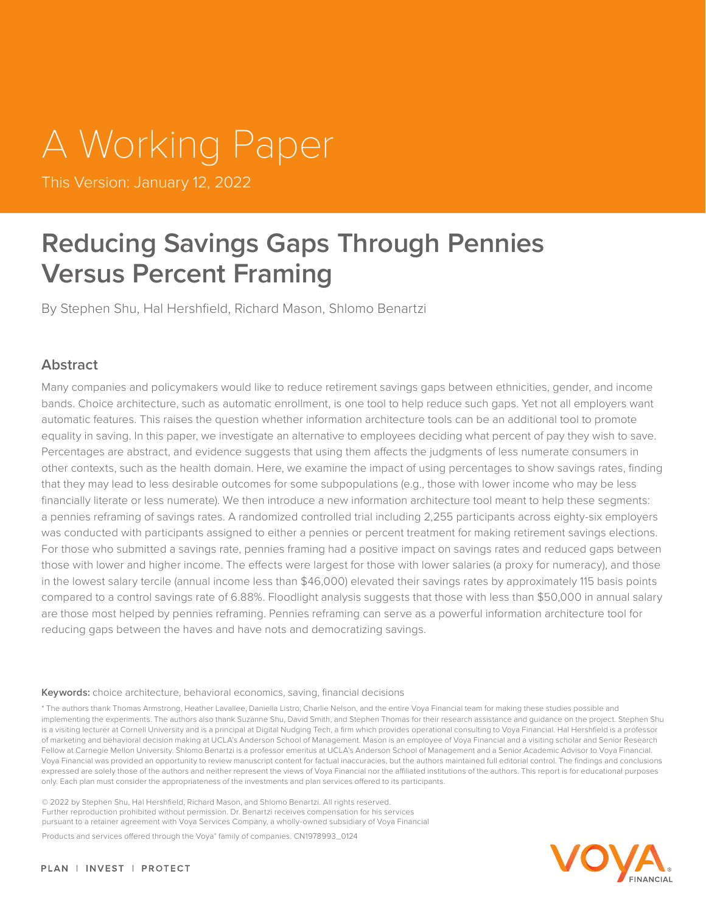# A Working Paper

This Version: January 12, 2022

### **Reducing Savings Gaps Through Pennies Versus Percent Framing**

By Stephen Shu, Hal Hershfield, Richard Mason, Shlomo Benartzi

#### **Abstract**

Many companies and policymakers would like to reduce retirement savings gaps between ethnicities, gender, and income bands. Choice architecture, such as automatic enrollment, is one tool to help reduce such gaps. Yet not all employers want automatic features. This raises the question whether information architecture tools can be an additional tool to promote equality in saving. In this paper, we investigate an alternative to employees deciding what percent of pay they wish to save. Percentages are abstract, and evidence suggests that using them affects the judgments of less numerate consumers in other contexts, such as the health domain. Here, we examine the impact of using percentages to show savings rates, finding that they may lead to less desirable outcomes for some subpopulations (e.g., those with lower income who may be less financially literate or less numerate). We then introduce a new information architecture tool meant to help these segments: a pennies reframing of savings rates. A randomized controlled trial including 2,255 participants across eighty-six employers was conducted with participants assigned to either a pennies or percent treatment for making retirement savings elections. For those who submitted a savings rate, pennies framing had a positive impact on savings rates and reduced gaps between those with lower and higher income. The effects were largest for those with lower salaries (a proxy for numeracy), and those in the lowest salary tercile (annual income less than \$46,000) elevated their savings rates by approximately 115 basis points compared to a control savings rate of 6.88%. Floodlight analysis suggests that those with less than \$50,000 in annual salary are those most helped by pennies reframing. Pennies reframing can serve as a powerful information architecture tool for reducing gaps between the haves and have nots and democratizing savings.

#### **Keywords:** choice architecture, behavioral economics, saving, financial decisions

\* The authors thank Thomas Armstrong, Heather Lavallee, Daniella Listro, Charlie Nelson, and the entire Voya Financial team for making these studies possible and implementing the experiments. The authors also thank Suzanne Shu, David Smith, and Stephen Thomas for their research assistance and quidance on the project. Stephen Shu is a visiting lecturer at Cornell University and is a principal at Digital Nudging Tech, a firm which provides operational consulting to Voya Financial. Hal Hershfield is a professor of marketing and behavioral decision making at UCLA's Anderson School of Management. Mason is an employee of Voya Financial and a visiting scholar and Senior Research Fellow at Carnegie Mellon University. Shlomo Benartzi is a professor emeritus at UCLA's Anderson School of Management and a Senior Academic Advisor to Voya Financial. Voya Financial was provided an opportunity to review manuscript content for factual inaccuracies, but the authors maintained full editorial control. The findings and conclusions expressed are solely those of the authors and neither represent the views of Voya Financial nor the affiliated institutions of the authors. This report is for educational purposes only. Each plan must consider the appropriateness of the investments and plan services offered to its participants.

© 2022 by Stephen Shu, Hal Hershfield, Richard Mason, and Shlomo Benartzi. All rights reserved. Further reproduction prohibited without permission. Dr. Benartzi receives compensation for his services pursuant to a retainer agreement with Voya Services Company, a wholly-owned subsidiary of Voya Financial

Products and services offered through the Voya® family of companies. CN1978993\_0124

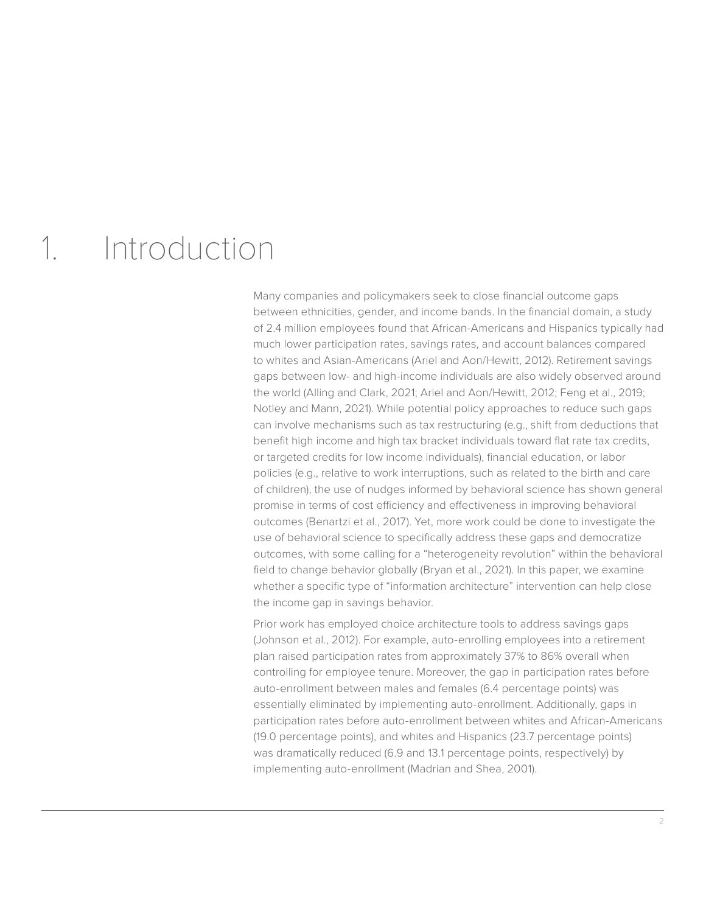### 1. Introduction

Many companies and policymakers seek to close financial outcome gaps between ethnicities, gender, and income bands. In the financial domain, a study of 2.4 million employees found that African-Americans and Hispanics typically had much lower participation rates, savings rates, and account balances compared to whites and Asian-Americans (Ariel and Aon/Hewitt, 2012). Retirement savings gaps between low- and high-income individuals are also widely observed around the world (Alling and Clark, 2021; Ariel and Aon/Hewitt, 2012; Feng et al., 2019; Notley and Mann, 2021). While potential policy approaches to reduce such gaps can involve mechanisms such as tax restructuring (e.g., shift from deductions that benefit high income and high tax bracket individuals toward flat rate tax credits, or targeted credits for low income individuals), financial education, or labor policies (e.g., relative to work interruptions, such as related to the birth and care of children), the use of nudges informed by behavioral science has shown general promise in terms of cost efficiency and effectiveness in improving behavioral outcomes (Benartzi et al., 2017). Yet, more work could be done to investigate the use of behavioral science to specifically address these gaps and democratize outcomes, with some calling for a "heterogeneity revolution" within the behavioral field to change behavior globally (Bryan et al., 2021). In this paper, we examine whether a specific type of "information architecture" intervention can help close the income gap in savings behavior.

Prior work has employed choice architecture tools to address savings gaps (Johnson et al., 2012). For example, auto-enrolling employees into a retirement plan raised participation rates from approximately 37% to 86% overall when controlling for employee tenure. Moreover, the gap in participation rates before auto-enrollment between males and females (6.4 percentage points) was essentially eliminated by implementing auto-enrollment. Additionally, gaps in participation rates before auto-enrollment between whites and African-Americans (19.0 percentage points), and whites and Hispanics (23.7 percentage points) was dramatically reduced (6.9 and 13.1 percentage points, respectively) by implementing auto-enrollment (Madrian and Shea, 2001).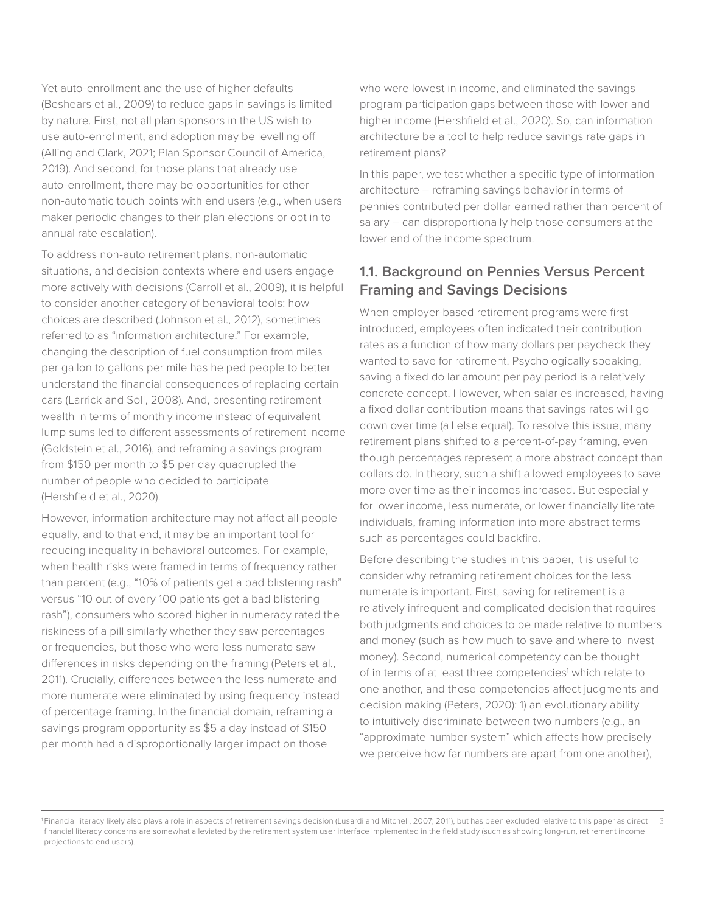Yet auto-enrollment and the use of higher defaults (Beshears et al., 2009) to reduce gaps in savings is limited by nature. First, not all plan sponsors in the US wish to use auto-enrollment, and adoption may be levelling off (Alling and Clark, 2021; Plan Sponsor Council of America, 2019). And second, for those plans that already use auto-enrollment, there may be opportunities for other non-automatic touch points with end users (e.g., when users maker periodic changes to their plan elections or opt in to annual rate escalation).

To address non-auto retirement plans, non-automatic situations, and decision contexts where end users engage more actively with decisions (Carroll et al., 2009), it is helpful to consider another category of behavioral tools: how choices are described (Johnson et al., 2012), sometimes referred to as "information architecture." For example, changing the description of fuel consumption from miles per gallon to gallons per mile has helped people to better understand the financial consequences of replacing certain cars (Larrick and Soll, 2008). And, presenting retirement wealth in terms of monthly income instead of equivalent lump sums led to different assessments of retirement income (Goldstein et al., 2016), and reframing a savings program from \$150 per month to \$5 per day quadrupled the number of people who decided to participate (Hershfield et al., 2020).

However, information architecture may not affect all people equally, and to that end, it may be an important tool for reducing inequality in behavioral outcomes. For example, when health risks were framed in terms of frequency rather than percent (e.g., "10% of patients get a bad blistering rash" versus "10 out of every 100 patients get a bad blistering rash"), consumers who scored higher in numeracy rated the riskiness of a pill similarly whether they saw percentages or frequencies, but those who were less numerate saw differences in risks depending on the framing (Peters et al., 2011). Crucially, differences between the less numerate and more numerate were eliminated by using frequency instead of percentage framing. In the financial domain, reframing a savings program opportunity as \$5 a day instead of \$150 per month had a disproportionally larger impact on those

who were lowest in income, and eliminated the savings program participation gaps between those with lower and higher income (Hershfield et al., 2020). So, can information architecture be a tool to help reduce savings rate gaps in retirement plans?

In this paper, we test whether a specific type of information architecture – reframing savings behavior in terms of pennies contributed per dollar earned rather than percent of salary – can disproportionally help those consumers at the lower end of the income spectrum.

#### **1.1. Background on Pennies Versus Percent Framing and Savings Decisions**

When employer-based retirement programs were first introduced, employees often indicated their contribution rates as a function of how many dollars per paycheck they wanted to save for retirement. Psychologically speaking, saving a fixed dollar amount per pay period is a relatively concrete concept. However, when salaries increased, having a fixed dollar contribution means that savings rates will go down over time (all else equal). To resolve this issue, many retirement plans shifted to a percent-of-pay framing, even though percentages represent a more abstract concept than dollars do. In theory, such a shift allowed employees to save more over time as their incomes increased. But especially for lower income, less numerate, or lower financially literate individuals, framing information into more abstract terms such as percentages could backfire.

Before describing the studies in this paper, it is useful to consider why reframing retirement choices for the less numerate is important. First, saving for retirement is a relatively infrequent and complicated decision that requires both judgments and choices to be made relative to numbers and money (such as how much to save and where to invest money). Second, numerical competency can be thought of in terms of at least three competencies<sup>1</sup> which relate to one another, and these competencies affect judgments and decision making (Peters, 2020): 1) an evolutionary ability to intuitively discriminate between two numbers (e.g., an "approximate number system" which affects how precisely we perceive how far numbers are apart from one another),

<sup>3</sup> 1 Financial literacy likely also plays a role in aspects of retirement savings decision (Lusardi and Mitchell, 2007; 2011), but has been excluded relative to this paper as direct financial literacy concerns are somewhat alleviated by the retirement system user interface implemented in the field study (such as showing long-run, retirement income projections to end users).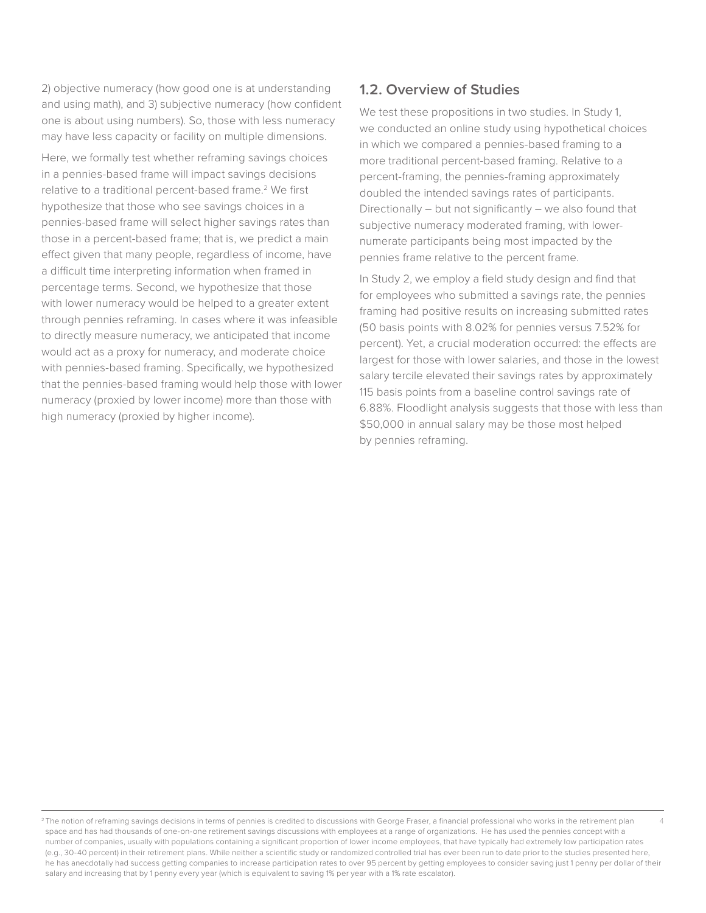2) objective numeracy (how good one is at understanding and using math), and 3) subjective numeracy (how confident one is about using numbers). So, those with less numeracy may have less capacity or facility on multiple dimensions.

Here, we formally test whether reframing savings choices in a pennies-based frame will impact savings decisions relative to a traditional percent-based frame.<sup>2</sup> We first hypothesize that those who see savings choices in a pennies-based frame will select higher savings rates than those in a percent-based frame; that is, we predict a main effect given that many people, regardless of income, have a difficult time interpreting information when framed in percentage terms. Second, we hypothesize that those with lower numeracy would be helped to a greater extent through pennies reframing. In cases where it was infeasible to directly measure numeracy, we anticipated that income would act as a proxy for numeracy, and moderate choice with pennies-based framing. Specifically, we hypothesized that the pennies-based framing would help those with lower numeracy (proxied by lower income) more than those with high numeracy (proxied by higher income).

#### **1.2. Overview of Studies**

We test these propositions in two studies. In Study 1, we conducted an online study using hypothetical choices in which we compared a pennies-based framing to a more traditional percent-based framing. Relative to a percent-framing, the pennies-framing approximately doubled the intended savings rates of participants. Directionally – but not significantly – we also found that subjective numeracy moderated framing, with lowernumerate participants being most impacted by the pennies frame relative to the percent frame.

In Study 2, we employ a field study design and find that for employees who submitted a savings rate, the pennies framing had positive results on increasing submitted rates (50 basis points with 8.02% for pennies versus 7.52% for percent). Yet, a crucial moderation occurred: the effects are largest for those with lower salaries, and those in the lowest salary tercile elevated their savings rates by approximately 115 basis points from a baseline control savings rate of 6.88%. Floodlight analysis suggests that those with less than \$50,000 in annual salary may be those most helped by pennies reframing.

<sup>4</sup> <sup>2</sup>The notion of reframing savings decisions in terms of pennies is credited to discussions with George Fraser, a financial professional who works in the retirement plan space and has had thousands of one-on-one retirement savings discussions with employees at a range of organizations. He has used the pennies concept with a number of companies, usually with populations containing a significant proportion of lower income employees, that have typically had extremely low participation rates (e.g., 30-40 percent) in their retirement plans. While neither a scientific study or randomized controlled trial has ever been run to date prior to the studies presented here, he has anecdotally had success getting companies to increase participation rates to over 95 percent by getting employees to consider saving just 1 penny per dollar of their salary and increasing that by 1 penny every year (which is equivalent to saving 1% per year with a 1% rate escalator).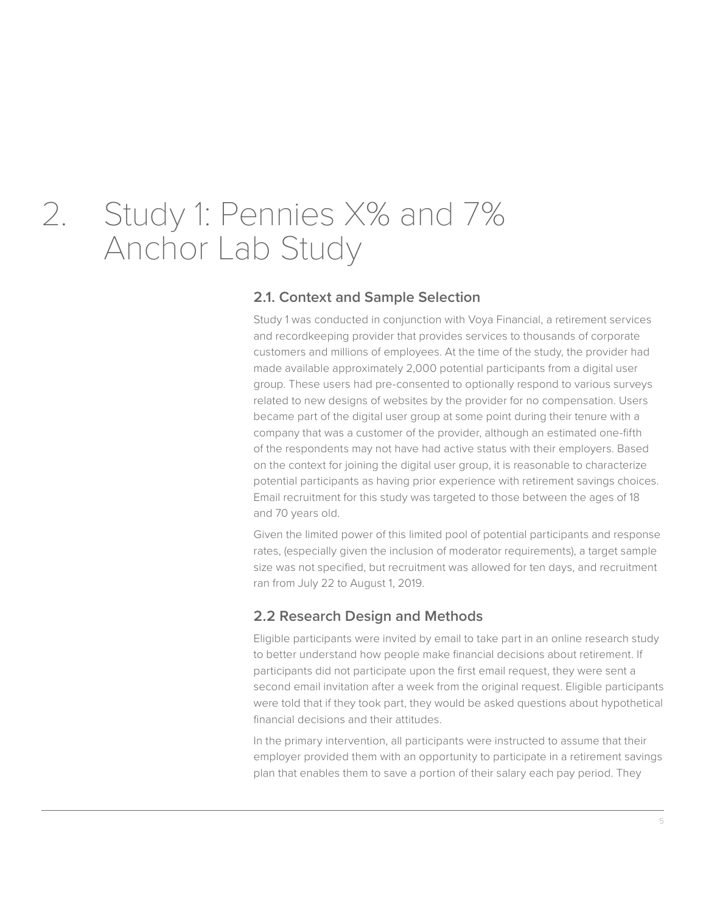### 2. Study 1: Pennies X% and 7% Anchor Lab Study

#### **2.1. Context and Sample Selection**

Study 1 was conducted in conjunction with Voya Financial, a retirement services and recordkeeping provider that provides services to thousands of corporate customers and millions of employees. At the time of the study, the provider had made available approximately 2,000 potential participants from a digital user group. These users had pre-consented to optionally respond to various surveys related to new designs of websites by the provider for no compensation. Users became part of the digital user group at some point during their tenure with a company that was a customer of the provider, although an estimated one-fifth of the respondents may not have had active status with their employers. Based on the context for joining the digital user group, it is reasonable to characterize potential participants as having prior experience with retirement savings choices. Email recruitment for this study was targeted to those between the ages of 18 and 70 years old.

Given the limited power of this limited pool of potential participants and response rates, (especially given the inclusion of moderator requirements), a target sample size was not specified, but recruitment was allowed for ten days, and recruitment ran from July 22 to August 1, 2019.

#### **2.2 Research Design and Methods**

Eligible participants were invited by email to take part in an online research study to better understand how people make financial decisions about retirement. If participants did not participate upon the first email request, they were sent a second email invitation after a week from the original request. Eligible participants were told that if they took part, they would be asked questions about hypothetical financial decisions and their attitudes.

In the primary intervention, all participants were instructed to assume that their employer provided them with an opportunity to participate in a retirement savings plan that enables them to save a portion of their salary each pay period. They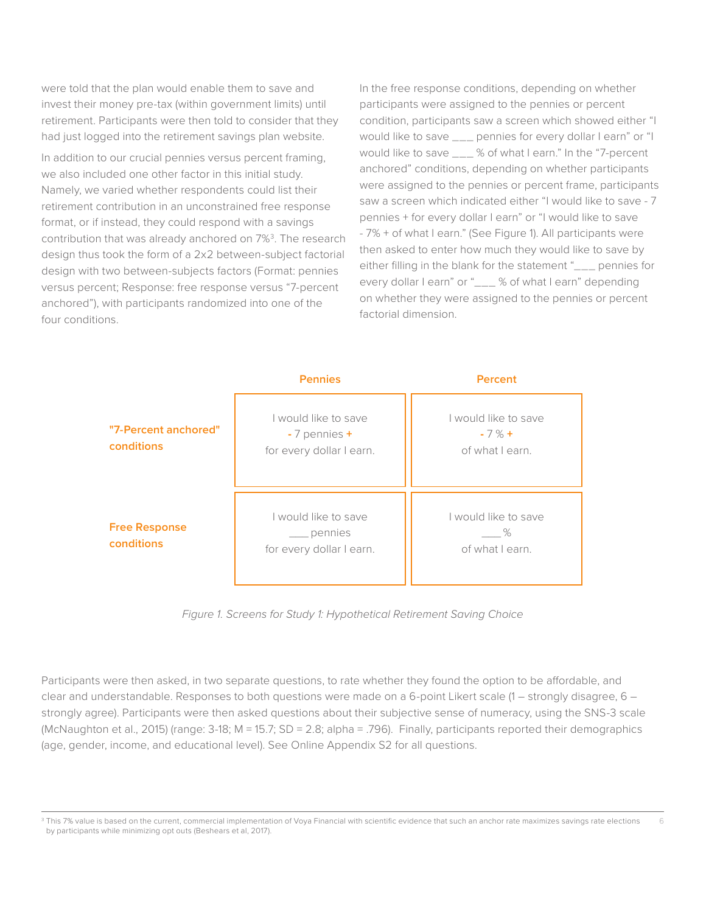were told that the plan would enable them to save and invest their money pre-tax (within government limits) until retirement. Participants were then told to consider that they had just logged into the retirement savings plan website.

In addition to our crucial pennies versus percent framing, we also included one other factor in this initial study. Namely, we varied whether respondents could list their retirement contribution in an unconstrained free response format, or if instead, they could respond with a savings contribution that was already anchored on 7%<sup>3</sup>. The research design thus took the form of a 2x2 between-subject factorial design with two between-subjects factors (Format: pennies versus percent; Response: free response versus "7-percent anchored"), with participants randomized into one of the four conditions.

In the free response conditions, depending on whether participants were assigned to the pennies or percent condition, participants saw a screen which showed either "I would like to save \_\_\_ pennies for every dollar I earn" or "I would like to save \_\_\_ % of what I earn." In the "7-percent anchored" conditions, depending on whether participants were assigned to the pennies or percent frame, participants saw a screen which indicated either "I would like to save - 7 pennies + for every dollar I earn" or "I would like to save - 7% + of what I earn." (See Figure 1). All participants were then asked to enter how much they would like to save by either filling in the blank for the statement "\_\_\_ pennies for every dollar I earn" or "\_\_\_ % of what I earn" depending on whether they were assigned to the pennies or percent factorial dimension.



*Figure 1. Screens for Study 1: Hypothetical Retirement Saving Choice*

Participants were then asked, in two separate questions, to rate whether they found the option to be affordable, and clear and understandable. Responses to both questions were made on a 6-point Likert scale (1 – strongly disagree, 6 – strongly agree). Participants were then asked questions about their subjective sense of numeracy, using the SNS-3 scale (McNaughton et al., 2015) (range: 3-18; M = 15.7; SD = 2.8; alpha = .796). Finally, participants reported their demographics (age, gender, income, and educational level). See Online Appendix S2 for all questions.

<sup>6</sup> <sup>3</sup> This 7% value is based on the current, commercial implementation of Voya Financial with scientific evidence that such an anchor rate maximizes savings rate elections by participants while minimizing opt outs (Beshears et al, 2017).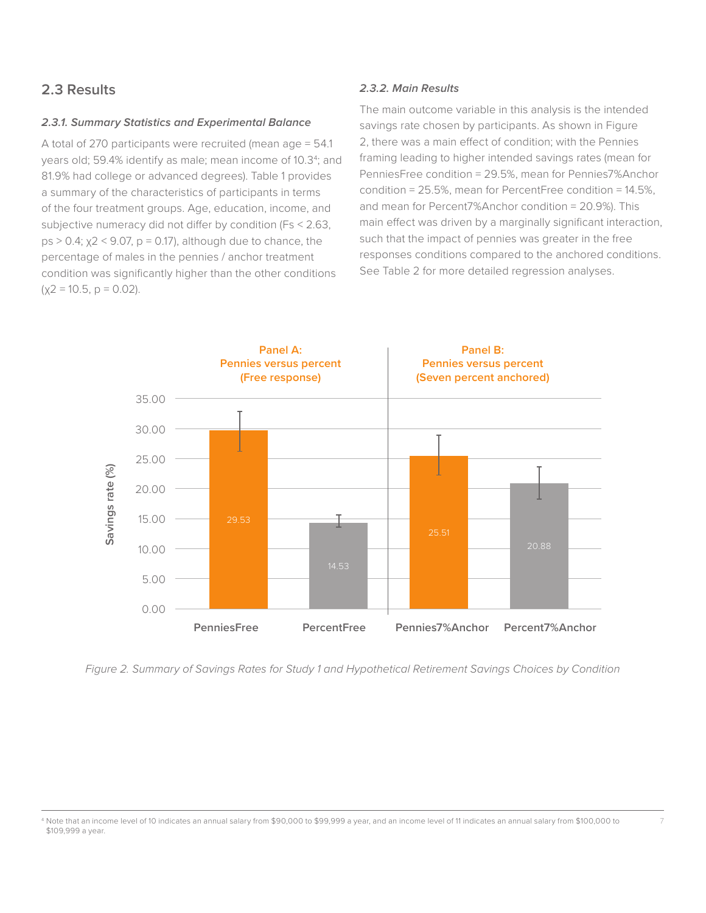#### **2.3 Results**

#### **2.3.1. Summary Statistics and Experimental Balance**

A total of 270 participants were recruited (mean age = 54.1 years old; 59.4% identify as male; mean income of 10.3<sup>4</sup>; and 81.9% had college or advanced degrees). Table 1 provides a summary of the characteristics of participants in terms of the four treatment groups. Age, education, income, and subjective numeracy did not differ by condition (Fs < 2.63,  $ps > 0.4$ ;  $\chi$ 2 < 9.07,  $p = 0.17$ ), although due to chance, the percentage of males in the pennies / anchor treatment condition was significantly higher than the other conditions  $(x2 = 10.5, p = 0.02)$ .

#### **2.3.2. Main Results**

The main outcome variable in this analysis is the intended savings rate chosen by participants. As shown in Figure 2, there was a main effect of condition; with the Pennies framing leading to higher intended savings rates (mean for PenniesFree condition = 29.5%, mean for Pennies7%Anchor condition = 25.5%, mean for PercentFree condition = 14.5%, and mean for Percent7%Anchor condition = 20.9%). This main effect was driven by a marginally significant interaction, such that the impact of pennies was greater in the free responses conditions compared to the anchored conditions. See Table 2 for more detailed regression analyses.



*Figure 2. Summary of Savings Rates for Study 1 and Hypothetical Retirement Savings Choices by Condition*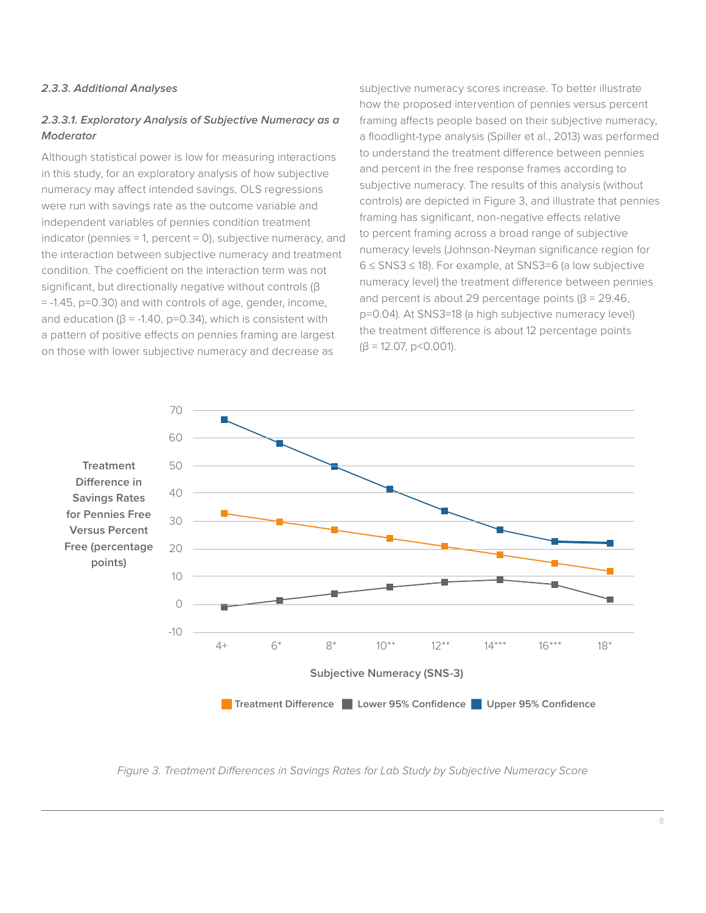#### **2.3.3. Additional Analyses**

#### **2.3.3.1. Exploratory Analysis of Subjective Numeracy as a Moderator**

Although statistical power is low for measuring interactions in this study, for an exploratory analysis of how subjective numeracy may affect intended savings, OLS regressions were run with savings rate as the outcome variable and independent variables of pennies condition treatment indicator (pennies = 1, percent = 0), subjective numeracy, and the interaction between subjective numeracy and treatment condition. The coefficient on the interaction term was not significant, but directionally negative without controls (β = -1.45, p=0.30) and with controls of age, gender, income, and education ( $\beta$  = -1.40, p=0.34), which is consistent with a pattern of positive effects on pennies framing are largest on those with lower subjective numeracy and decrease as

subjective numeracy scores increase. To better illustrate how the proposed intervention of pennies versus percent framing affects people based on their subjective numeracy, a floodlight-type analysis (Spiller et al., 2013) was performed to understand the treatment difference between pennies and percent in the free response frames according to subjective numeracy. The results of this analysis (without controls) are depicted in Figure 3, and illustrate that pennies framing has significant, non-negative effects relative to percent framing across a broad range of subjective numeracy levels (Johnson-Neyman significance region for 6 ≤ SNS3 ≤ 18). For example, at SNS3=6 (a low subjective numeracy level) the treatment difference between pennies and percent is about 29 percentage points ( $\beta$  = 29.46, p=0.04). At SNS3=18 (a high subjective numeracy level) the treatment difference is about 12 percentage points  $(\beta = 12.07, p < 0.001)$ .



*Figure 3. Treatment Differences in Savings Rates for Lab Study by Subjective Numeracy Score*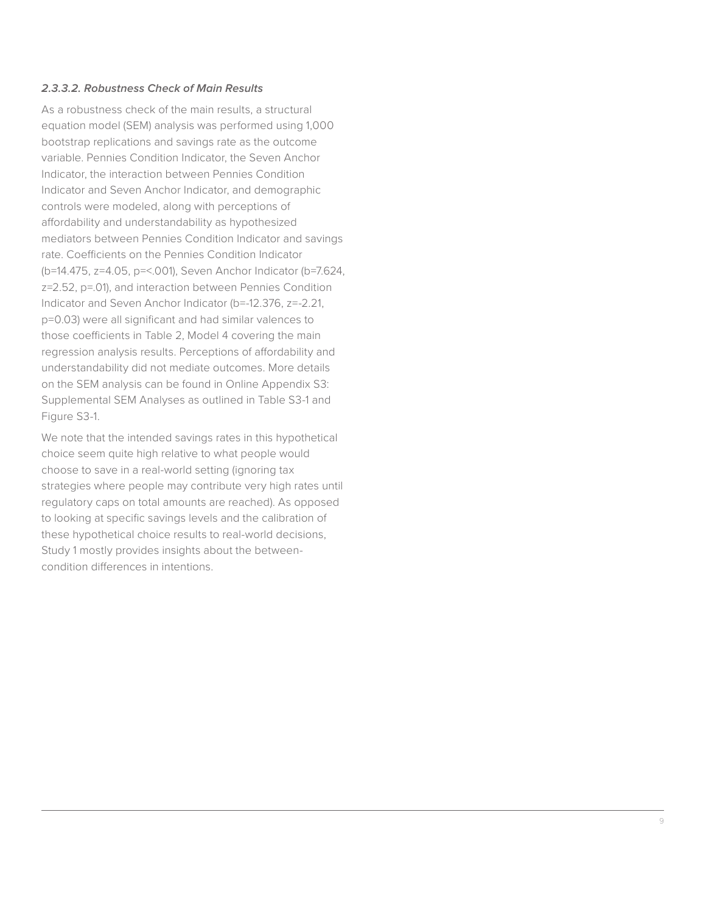#### **2.3.3.2. Robustness Check of Main Results**

As a robustness check of the main results, a structural equation model (SEM) analysis was performed using 1,000 bootstrap replications and savings rate as the outcome variable. Pennies Condition Indicator, the Seven Anchor Indicator, the interaction between Pennies Condition Indicator and Seven Anchor Indicator, and demographic controls were modeled, along with perceptions of affordability and understandability as hypothesized mediators between Pennies Condition Indicator and savings rate. Coefficients on the Pennies Condition Indicator (b=14.475, z=4.05, p=<.001), Seven Anchor Indicator (b=7.624, z=2.52, p=.01), and interaction between Pennies Condition Indicator and Seven Anchor Indicator (b=-12.376, z=-2.21, p=0.03) were all significant and had similar valences to those coefficients in Table 2, Model 4 covering the main regression analysis results. Perceptions of affordability and understandability did not mediate outcomes. More details on the SEM analysis can be found in Online Appendix S3: Supplemental SEM Analyses as outlined in Table S3-1 and Figure S3-1.

We note that the intended savings rates in this hypothetical choice seem quite high relative to what people would choose to save in a real-world setting (ignoring tax strategies where people may contribute very high rates until regulatory caps on total amounts are reached). As opposed to looking at specific savings levels and the calibration of these hypothetical choice results to real-world decisions, Study 1 mostly provides insights about the betweencondition differences in intentions.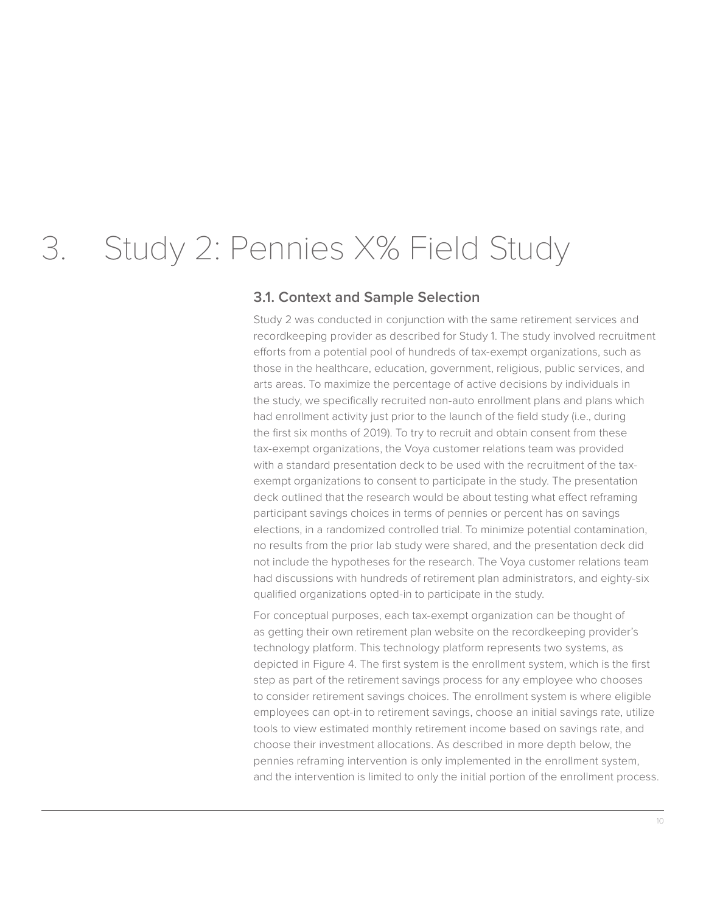### 3. Study 2: Pennies X% Field Study

#### **3.1. Context and Sample Selection**

Study 2 was conducted in conjunction with the same retirement services and recordkeeping provider as described for Study 1. The study involved recruitment efforts from a potential pool of hundreds of tax-exempt organizations, such as those in the healthcare, education, government, religious, public services, and arts areas. To maximize the percentage of active decisions by individuals in the study, we specifically recruited non-auto enrollment plans and plans which had enrollment activity just prior to the launch of the field study (i.e., during the first six months of 2019). To try to recruit and obtain consent from these tax-exempt organizations, the Voya customer relations team was provided with a standard presentation deck to be used with the recruitment of the taxexempt organizations to consent to participate in the study. The presentation deck outlined that the research would be about testing what effect reframing participant savings choices in terms of pennies or percent has on savings elections, in a randomized controlled trial. To minimize potential contamination, no results from the prior lab study were shared, and the presentation deck did not include the hypotheses for the research. The Voya customer relations team had discussions with hundreds of retirement plan administrators, and eighty-six qualified organizations opted-in to participate in the study.

For conceptual purposes, each tax-exempt organization can be thought of as getting their own retirement plan website on the recordkeeping provider's technology platform. This technology platform represents two systems, as depicted in Figure 4. The first system is the enrollment system, which is the first step as part of the retirement savings process for any employee who chooses to consider retirement savings choices. The enrollment system is where eligible employees can opt-in to retirement savings, choose an initial savings rate, utilize tools to view estimated monthly retirement income based on savings rate, and choose their investment allocations. As described in more depth below, the pennies reframing intervention is only implemented in the enrollment system, and the intervention is limited to only the initial portion of the enrollment process.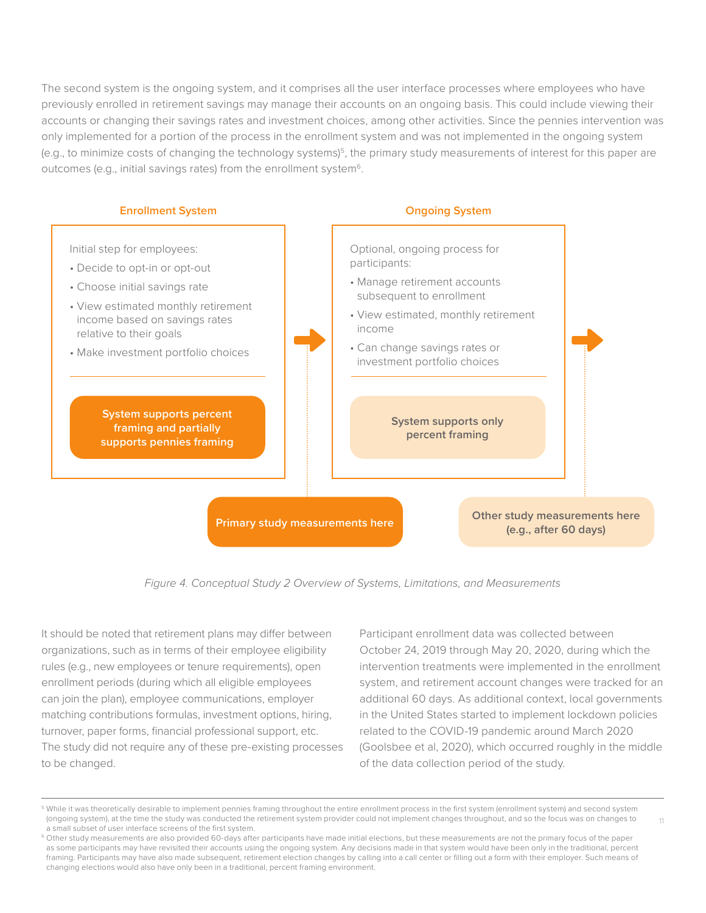The second system is the ongoing system, and it comprises all the user interface processes where employees who have previously enrolled in retirement savings may manage their accounts on an ongoing basis. This could include viewing their accounts or changing their savings rates and investment choices, among other activities. Since the pennies intervention was only implemented for a portion of the process in the enrollment system and was not implemented in the ongoing system (e.g., to minimize costs of changing the technology systems)<sup>5</sup>, the primary study measurements of interest for this paper are outcomes (e.g., initial savings rates) from the enrollment system<sup>6</sup>.



*Figure 4. Conceptual Study 2 Overview of Systems, Limitations, and Measurements* 

It should be noted that retirement plans may differ between organizations, such as in terms of their employee eligibility rules (e.g., new employees or tenure requirements), open enrollment periods (during which all eligible employees can join the plan), employee communications, employer matching contributions formulas, investment options, hiring, turnover, paper forms, financial professional support, etc. The study did not require any of these pre-existing processes to be changed.

Participant enrollment data was collected between October 24, 2019 through May 20, 2020, during which the intervention treatments were implemented in the enrollment system, and retirement account changes were tracked for an additional 60 days. As additional context, local governments in the United States started to implement lockdown policies related to the COVID-19 pandemic around March 2020 (Goolsbee et al, 2020), which occurred roughly in the middle of the data collection period of the study.

11

<sup>&</sup>lt;sup>5</sup> While it was theoretically desirable to implement pennies framing throughout the entire enrollment process in the first system (enrollment system) and second system (ongoing system), at the time the study was conducted the retirement system provider could not implement changes throughout, and so the focus was on changes to a small subset of user interface screens of the first system.

<sup>&</sup>lt;sup>6</sup> Other study measurements are also provided 60-days after participants have made initial elections, but these measurements are not the primary focus of the paper as some participants may have revisited their accounts using the ongoing system. Any decisions made in that system would have been only in the traditional, percent framing. Participants may have also made subsequent, retirement election changes by calling into a call center or filling out a form with their employer. Such means of changing elections would also have only been in a traditional, percent framing environment.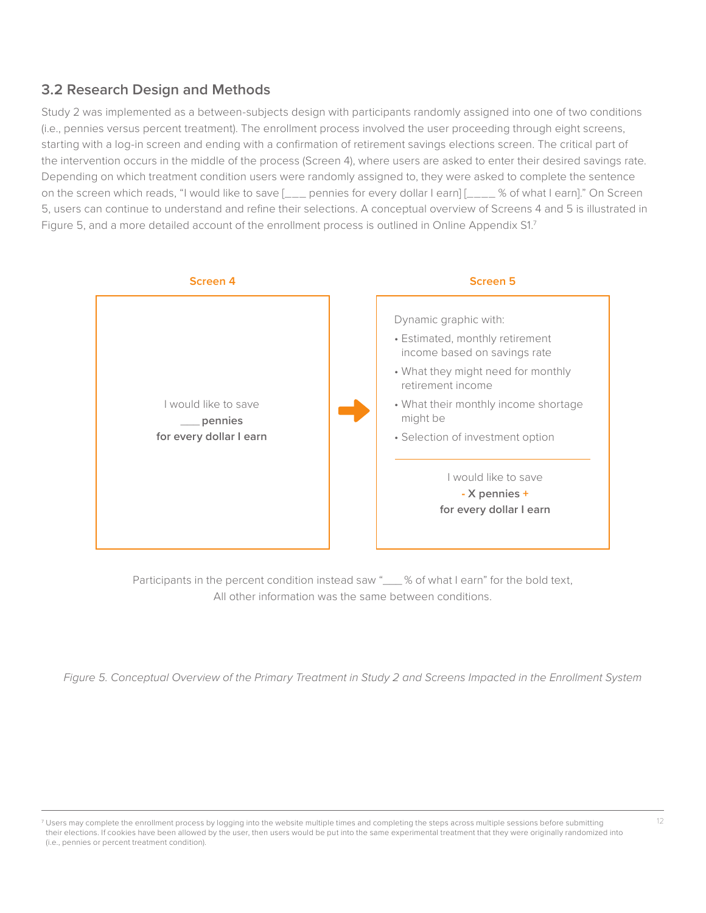#### **3.2 Research Design and Methods**

Study 2 was implemented as a between-subjects design with participants randomly assigned into one of two conditions (i.e., pennies versus percent treatment). The enrollment process involved the user proceeding through eight screens, starting with a log-in screen and ending with a confirmation of retirement savings elections screen. The critical part of the intervention occurs in the middle of the process (Screen 4), where users are asked to enter their desired savings rate. Depending on which treatment condition users were randomly assigned to, they were asked to complete the sentence on the screen which reads, "I would like to save [\_\_\_ pennies for every dollar I earn] [\_\_\_\_ % of what I earn]." On Screen 5, users can continue to understand and refine their selections. A conceptual overview of Screens 4 and 5 is illustrated in Figure 5, and a more detailed account of the enrollment process is outlined in Online Appendix S1.7



Participants in the percent condition instead saw "\_\_\_% of what I earn" for the bold text, All other information was the same between conditions.

*Figure 5. Conceptual Overview of the Primary Treatment in Study 2 and Screens Impacted in the Enrollment System*

<sup>7</sup> Users may complete the enrollment process by logging into the website multiple times and completing the steps across multiple sessions before submitting their elections. If cookies have been allowed by the user, then users would be put into the same experimental treatment that they were originally randomized into (i.e., pennies or percent treatment condition).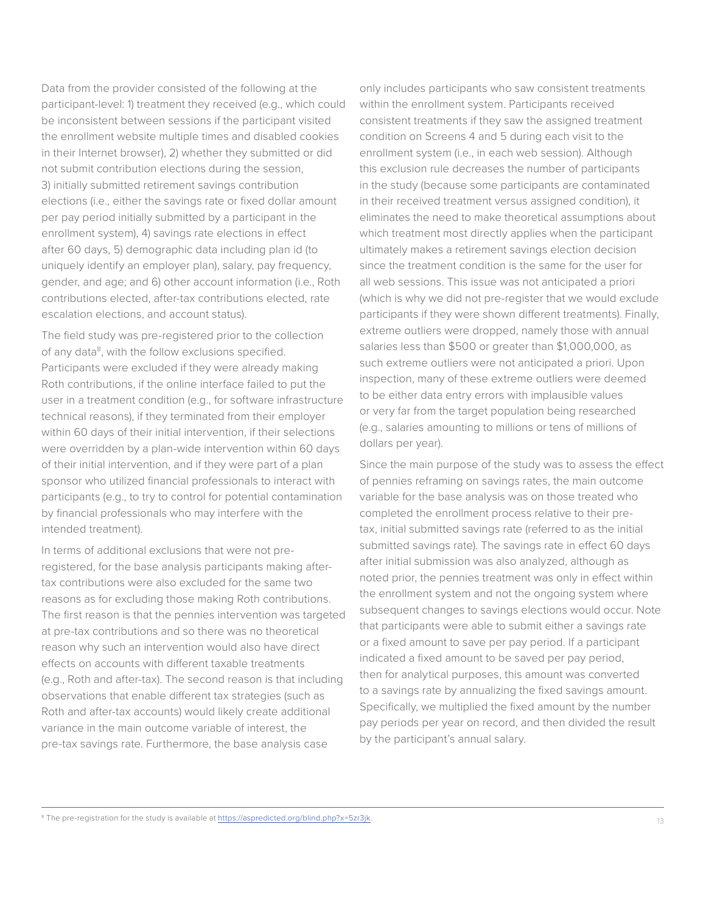Data from the provider consisted of the following at the participant-level: 1) treatment they received (e.g., which could be inconsistent between sessions if the participant visited the enrollment website multiple times and disabled cookies in their Internet browser), 2) whether they submitted or did not submit contribution elections during the session, 3) initially submitted retirement savings contribution elections (i.e., either the savings rate or fixed dollar amount per pay period initially submitted by a participant in the enrollment system), 4) savings rate elections in effect after 60 days, 5) demographic data including plan id (to uniquely identify an employer plan), salary, pay frequency, gender, and age; and 6) other account information (i.e., Roth contributions elected, after-tax contributions elected, rate escalation elections, and account status).

The field study was pre-registered prior to the collection of any data<sup>8</sup>, with the follow exclusions specified. Participants were excluded if they were already making Roth contributions, if the online interface failed to put the user in a treatment condition (e.g., for software infrastructure technical reasons), if they terminated from their employer within 60 days of their initial intervention, if their selections were overridden by a plan-wide intervention within 60 days of their initial intervention, and if they were part of a plan sponsor who utilized financial professionals to interact with participants (e.g., to try to control for potential contamination by financial professionals who may interfere with the intended treatment).

In terms of additional exclusions that were not preregistered, for the base analysis participants making aftertax contributions were also excluded for the same two reasons as for excluding those making Roth contributions. The first reason is that the pennies intervention was targeted at pre-tax contributions and so there was no theoretical reason why such an intervention would also have direct effects on accounts with different taxable treatments (e.g., Roth and after-tax). The second reason is that including observations that enable different tax strategies (such as Roth and after-tax accounts) would likely create additional variance in the main outcome variable of interest, the pre-tax savings rate. Furthermore, the base analysis case

only includes participants who saw consistent treatments within the enrollment system. Participants received consistent treatments if they saw the assigned treatment condition on Screens 4 and 5 during each visit to the enrollment system (i.e., in each web session). Although this exclusion rule decreases the number of participants in the study (because some participants are contaminated in their received treatment versus assigned condition), it eliminates the need to make theoretical assumptions about which treatment most directly applies when the participant ultimately makes a retirement savings election decision since the treatment condition is the same for the user for all web sessions. This issue was not anticipated a priori (which is why we did not pre-register that we would exclude participants if they were shown different treatments). Finally, extreme outliers were dropped, namely those with annual salaries less than \$500 or greater than \$1,000,000, as such extreme outliers were not anticipated a priori. Upon inspection, many of these extreme outliers were deemed to be either data entry errors with implausible values or very far from the target population being researched (e.g., salaries amounting to millions or tens of millions of dollars per year).

Since the main purpose of the study was to assess the effect of pennies reframing on savings rates, the main outcome variable for the base analysis was on those treated who completed the enrollment process relative to their pretax, initial submitted savings rate (referred to as the initial submitted savings rate). The savings rate in effect 60 days after initial submission was also analyzed, although as noted prior, the pennies treatment was only in effect within the enrollment system and not the ongoing system where subsequent changes to savings elections would occur. Note that participants were able to submit either a savings rate or a fixed amount to save per pay period. If a participant indicated a fixed amount to be saved per pay period, then for analytical purposes, this amount was converted to a savings rate by annualizing the fixed savings amount. Specifically, we multiplied the fixed amount by the number pay periods per year on record, and then divided the result by the participant's annual salary.

<sup>8</sup> The pre-registration for the study is available at https://aspredicted.org/blind.php?x=5zr3jk.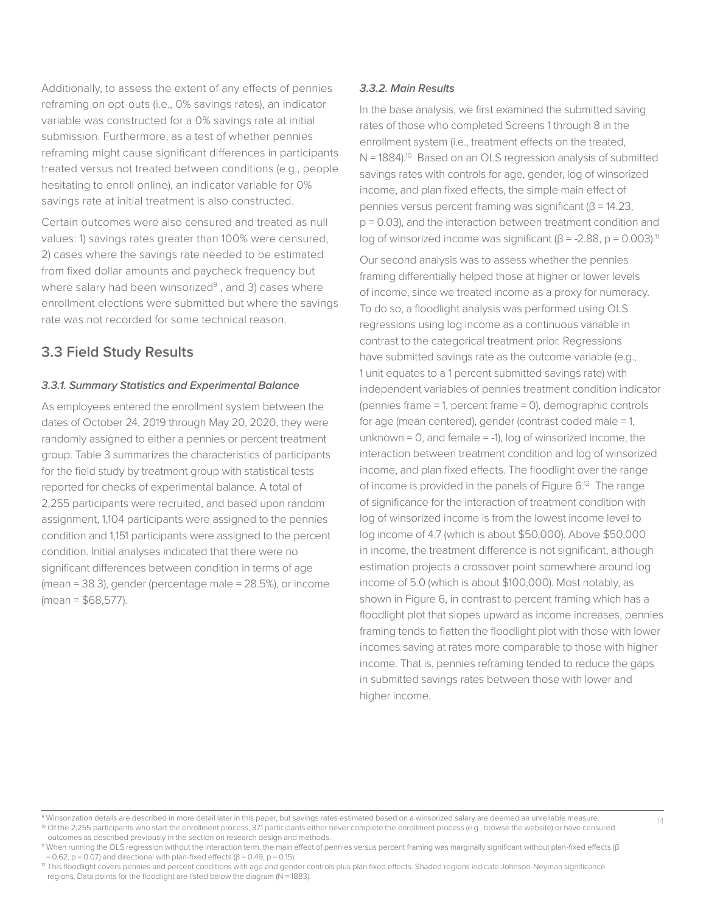Additionally, to assess the extent of any effects of pennies reframing on opt-outs (i.e., 0% savings rates), an indicator variable was constructed for a 0% savings rate at initial submission. Furthermore, as a test of whether pennies reframing might cause significant differences in participants treated versus not treated between conditions (e.g., people hesitating to enroll online), an indicator variable for 0% savings rate at initial treatment is also constructed.

Certain outcomes were also censured and treated as null values: 1) savings rates greater than 100% were censured, 2) cases where the savings rate needed to be estimated from fixed dollar amounts and paycheck frequency but where salary had been winsorized $9$ , and 3) cases where enrollment elections were submitted but where the savings rate was not recorded for some technical reason.

#### **3.3 Field Study Results**

#### **3.3.1. Summary Statistics and Experimental Balance**

As employees entered the enrollment system between the dates of October 24, 2019 through May 20, 2020, they were randomly assigned to either a pennies or percent treatment group. Table 3 summarizes the characteristics of participants for the field study by treatment group with statistical tests reported for checks of experimental balance. A total of 2,255 participants were recruited, and based upon random assignment, 1,104 participants were assigned to the pennies condition and 1,151 participants were assigned to the percent condition. Initial analyses indicated that there were no significant differences between condition in terms of age (mean = 38.3), gender (percentage male = 28.5%), or income  $(mean = $68,577)$ .

#### **3.3.2. Main Results**

In the base analysis, we first examined the submitted saving rates of those who completed Screens 1 through 8 in the enrollment system (i.e., treatment effects on the treated, N = 1884).<sup>10</sup> Based on an OLS regression analysis of submitted savings rates with controls for age, gender, log of winsorized income, and plan fixed effects, the simple main effect of pennies versus percent framing was significant ( $\beta$  = 14.23, p = 0.03), and the interaction between treatment condition and log of winsorized income was significant ( $\beta$  = -2.88, p = 0.003).<sup>11</sup>

Our second analysis was to assess whether the pennies framing differentially helped those at higher or lower levels of income, since we treated income as a proxy for numeracy. To do so, a floodlight analysis was performed using OLS regressions using log income as a continuous variable in contrast to the categorical treatment prior. Regressions have submitted savings rate as the outcome variable (e.g., 1 unit equates to a 1 percent submitted savings rate) with independent variables of pennies treatment condition indicator (pennies frame = 1, percent frame = 0), demographic controls for age (mean centered), gender (contrast coded male = 1, unknown =  $0$ , and female =  $-1$ ), log of winsorized income, the interaction between treatment condition and log of winsorized income, and plan fixed effects. The floodlight over the range of income is provided in the panels of Figure  $6^{12}$ . The range of significance for the interaction of treatment condition with log of winsorized income is from the lowest income level to log income of 4.7 (which is about \$50,000). Above \$50,000 in income, the treatment difference is not significant, although estimation projects a crossover point somewhere around log income of 5.0 (which is about \$100,000). Most notably, as shown in Figure 6, in contrast to percent framing which has a floodlight plot that slopes upward as income increases, pennies framing tends to flatten the floodlight plot with those with lower incomes saving at rates more comparable to those with higher income. That is, pennies reframing tended to reduce the gaps in submitted savings rates between those with lower and higher income.

<sup>9</sup> Winsorization details are described in more detail later in this paper, but savings rates estimated based on a winsorized salary are deemed an unreliable measure. 10 Of the 2,255 participants who start the enrollment process, 371 participants either never complete the enrollment process (e.g., browse the website) or have censured outcomes as described previously in the section on research design and methods.

<sup>&</sup>lt;sup>11</sup> When running the OLS regression without the interaction term, the main effect of pennies versus percent framing was marginally significant without plan-fixed effects (β = 0.62, p = 0.07) and directional with plan-fixed effects ( $\beta$  = 0.49, p = 0.15).

<sup>&</sup>lt;sup>12</sup> This floodlight covers pennies and percent conditions with age and gender controls plus plan fixed effects. Shaded regions indicate Johnson-Neyman significance regions. Data points for the floodlight are listed below the diagram ( $N = 1883$ ).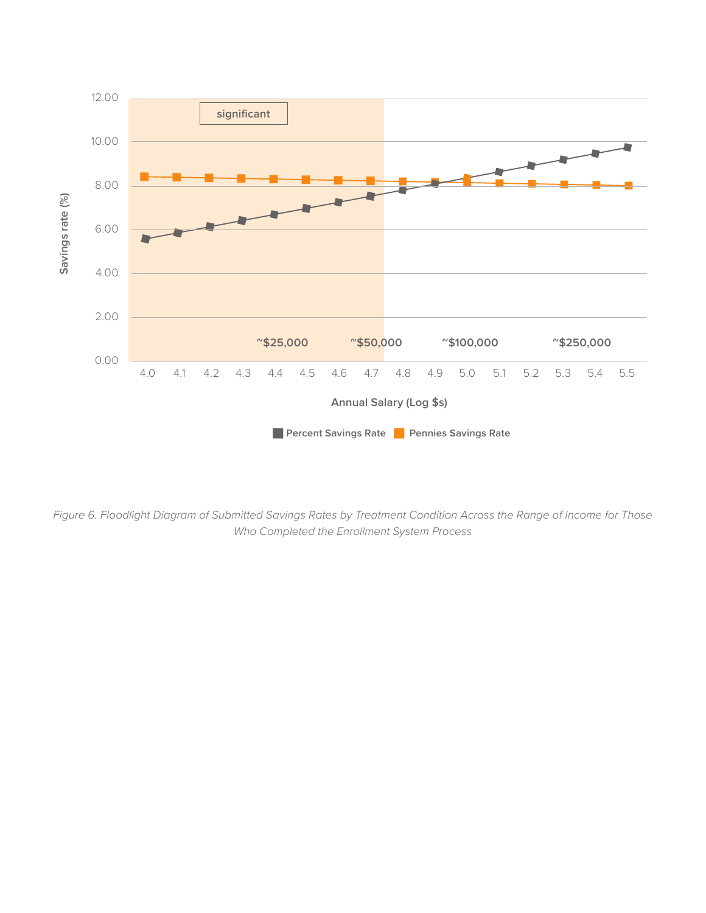

*Figure 6. Floodlight Diagram of Submitted Savings Rates by Treatment Condition Across the Range of Income for Those Who Completed the Enrollment System Process*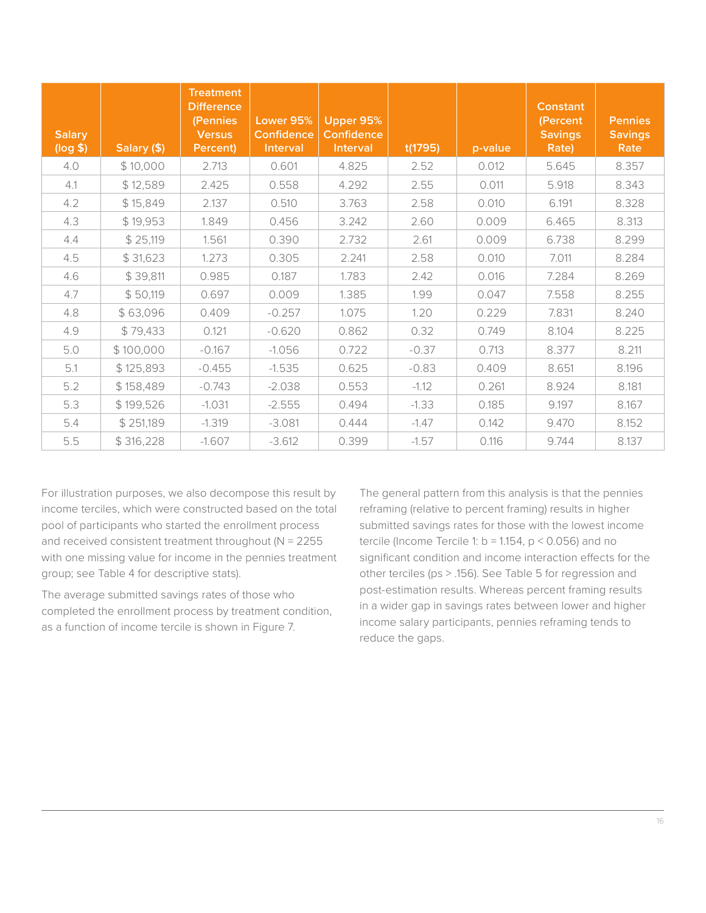| <b>Salary</b><br>(log \$) | Salary (\$) | <b>Treatment</b><br><b>Difference</b><br>(Pennies<br><b>Versus</b><br>Percent) | Lower 95%<br><b>Confidence</b><br><b>Interval</b> | Upper 95%<br><b>Confidence</b><br>Interval | t(1795) | p-value | <b>Constant</b><br>(Percent<br><b>Savings</b><br>Rate) | <b>Pennies</b><br><b>Savings</b><br>Rate |
|---------------------------|-------------|--------------------------------------------------------------------------------|---------------------------------------------------|--------------------------------------------|---------|---------|--------------------------------------------------------|------------------------------------------|
| 4.0                       | \$10,000    | 2.713                                                                          | 0.601                                             | 4.825                                      | 2.52    | 0.012   | 5.645                                                  | 8.357                                    |
| 4.1                       | \$12,589    | 2.425                                                                          | 0.558                                             | 4.292                                      | 2.55    | 0.011   | 5.918                                                  | 8.343                                    |
| 4.2                       | \$15,849    | 2.137                                                                          | 0.510                                             | 3.763                                      | 2.58    | 0.010   | 6.191                                                  | 8.328                                    |
| 4.3                       | \$19,953    | 1.849                                                                          | 0.456                                             | 3.242                                      | 2.60    | 0.009   | 6.465                                                  | 8.313                                    |
| 4.4                       | \$25,119    | 1.561                                                                          | 0.390                                             | 2.732                                      | 2.61    | 0.009   | 6.738                                                  | 8.299                                    |
| 4.5                       | \$31,623    | 1.273                                                                          | 0.305                                             | 2.241                                      | 2.58    | 0.010   | 7.011                                                  | 8.284                                    |
| 4.6                       | \$39,811    | 0.985                                                                          | 0.187                                             | 1.783                                      | 2.42    | 0.016   | 7.284                                                  | 8.269                                    |
| 4.7                       | \$50,119    | 0.697                                                                          | 0.009                                             | 1.385                                      | 1.99    | 0.047   | 7.558                                                  | 8.255                                    |
| 4.8                       | \$63,096    | 0.409                                                                          | $-0.257$                                          | 1.075                                      | 1.20    | 0.229   | 7.831                                                  | 8.240                                    |
| 4.9                       | \$79,433    | 0.121                                                                          | $-0.620$                                          | 0.862                                      | 0.32    | 0.749   | 8.104                                                  | 8.225                                    |
| 5.0                       | \$100,000   | $-0.167$                                                                       | $-1.056$                                          | 0.722                                      | $-0.37$ | 0.713   | 8.377                                                  | 8.211                                    |
| 5.1                       | \$125,893   | $-0.455$                                                                       | $-1.535$                                          | 0.625                                      | $-0.83$ | 0.409   | 8.651                                                  | 8.196                                    |
| 5.2                       | \$158,489   | $-0.743$                                                                       | $-2.038$                                          | 0.553                                      | $-1.12$ | 0.261   | 8.924                                                  | 8.181                                    |
| 5.3                       | \$199,526   | $-1.031$                                                                       | $-2.555$                                          | 0.494                                      | $-1.33$ | 0.185   | 9.197                                                  | 8.167                                    |
| 5.4                       | \$251,189   | $-1.319$                                                                       | $-3.081$                                          | 0.444                                      | $-1.47$ | 0.142   | 9.470                                                  | 8.152                                    |
| 5.5                       | \$316,228   | $-1.607$                                                                       | $-3.612$                                          | 0.399                                      | $-1.57$ | 0.116   | 9.744                                                  | 8.137                                    |

For illustration purposes, we also decompose this result by income terciles, which were constructed based on the total pool of participants who started the enrollment process and received consistent treatment throughout (N = 2255 with one missing value for income in the pennies treatment group; see Table 4 for descriptive stats).

The average submitted savings rates of those who completed the enrollment process by treatment condition, as a function of income tercile is shown in Figure 7.

The general pattern from this analysis is that the pennies reframing (relative to percent framing) results in higher submitted savings rates for those with the lowest income tercile (Income Tercile 1:  $b = 1.154$ ,  $p < 0.056$ ) and no significant condition and income interaction effects for the other terciles (ps > .156). See Table 5 for regression and post-estimation results. Whereas percent framing results in a wider gap in savings rates between lower and higher income salary participants, pennies reframing tends to reduce the gaps.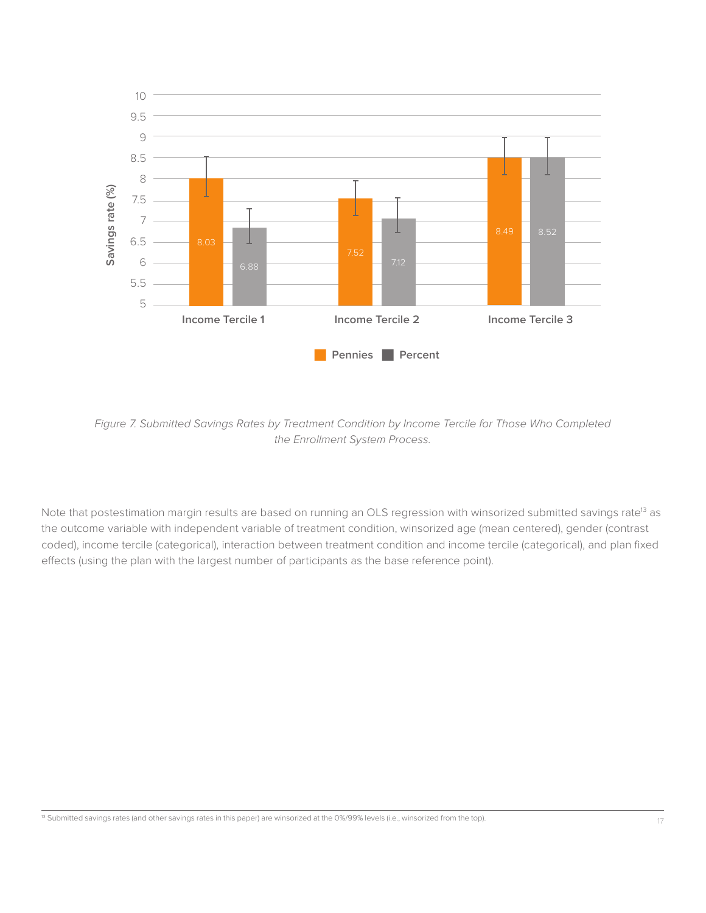

*Figure 7. Submitted Savings Rates by Treatment Condition by Income Tercile for Those Who Completed the Enrollment System Process.* 

Note that postestimation margin results are based on running an OLS regression with winsorized submitted savings rate<sup>13</sup> as the outcome variable with independent variable of treatment condition, winsorized age (mean centered), gender (contrast coded), income tercile (categorical), interaction between treatment condition and income tercile (categorical), and plan fixed effects (using the plan with the largest number of participants as the base reference point).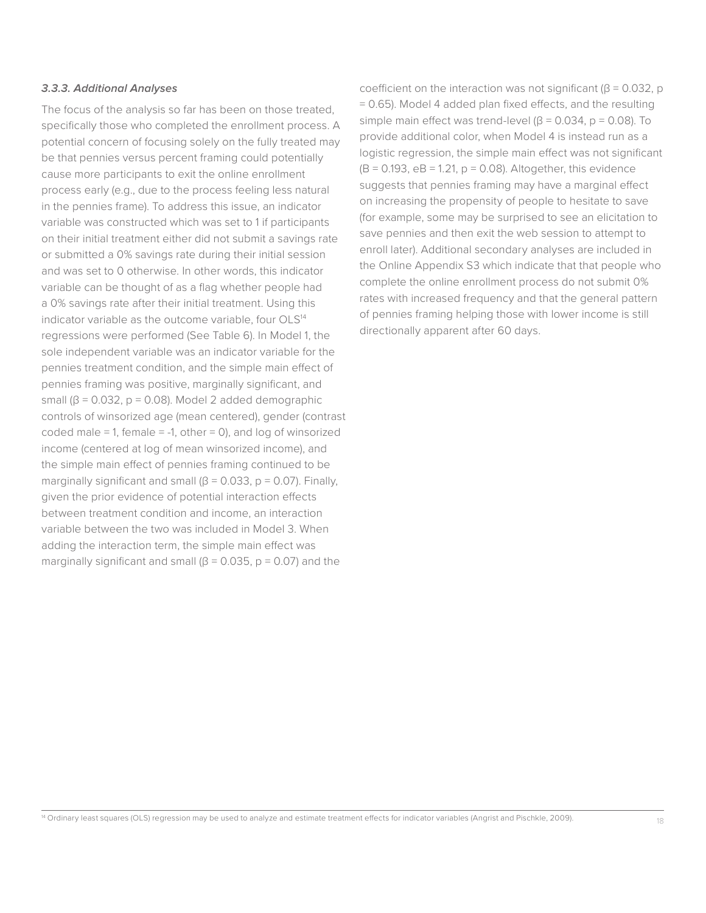#### **3.3.3. Additional Analyses**

The focus of the analysis so far has been on those treated, specifically those who completed the enrollment process. A potential concern of focusing solely on the fully treated may be that pennies versus percent framing could potentially cause more participants to exit the online enrollment process early (e.g., due to the process feeling less natural in the pennies frame). To address this issue, an indicator variable was constructed which was set to 1 if participants on their initial treatment either did not submit a savings rate or submitted a 0% savings rate during their initial session and was set to 0 otherwise. In other words, this indicator variable can be thought of as a flag whether people had a 0% savings rate after their initial treatment. Using this indicator variable as the outcome variable, four OLS<sup>14</sup> regressions were performed (See Table 6). In Model 1, the sole independent variable was an indicator variable for the pennies treatment condition, and the simple main effect of pennies framing was positive, marginally significant, and small ( $β = 0.032$ ,  $p = 0.08$ ). Model 2 added demographic controls of winsorized age (mean centered), gender (contrast coded male = 1, female = -1, other = 0), and log of winsorized income (centered at log of mean winsorized income), and the simple main effect of pennies framing continued to be marginally significant and small ( $\beta$  = 0.033, p = 0.07). Finally, given the prior evidence of potential interaction effects between treatment condition and income, an interaction variable between the two was included in Model 3. When adding the interaction term, the simple main effect was marginally significant and small ( $\beta$  = 0.035, p = 0.07) and the

coefficient on the interaction was not significant ( $\beta$  = 0.032, p = 0.65). Model 4 added plan fixed effects, and the resulting simple main effect was trend-level  $(\beta = 0.034, p = 0.08)$ . To provide additional color, when Model 4 is instead run as a logistic regression, the simple main effect was not significant  $(B = 0.193, eB = 1.21, p = 0.08)$ . Altogether, this evidence suggests that pennies framing may have a marginal effect on increasing the propensity of people to hesitate to save (for example, some may be surprised to see an elicitation to save pennies and then exit the web session to attempt to enroll later). Additional secondary analyses are included in the Online Appendix S3 which indicate that that people who complete the online enrollment process do not submit 0% rates with increased frequency and that the general pattern of pennies framing helping those with lower income is still directionally apparent after 60 days.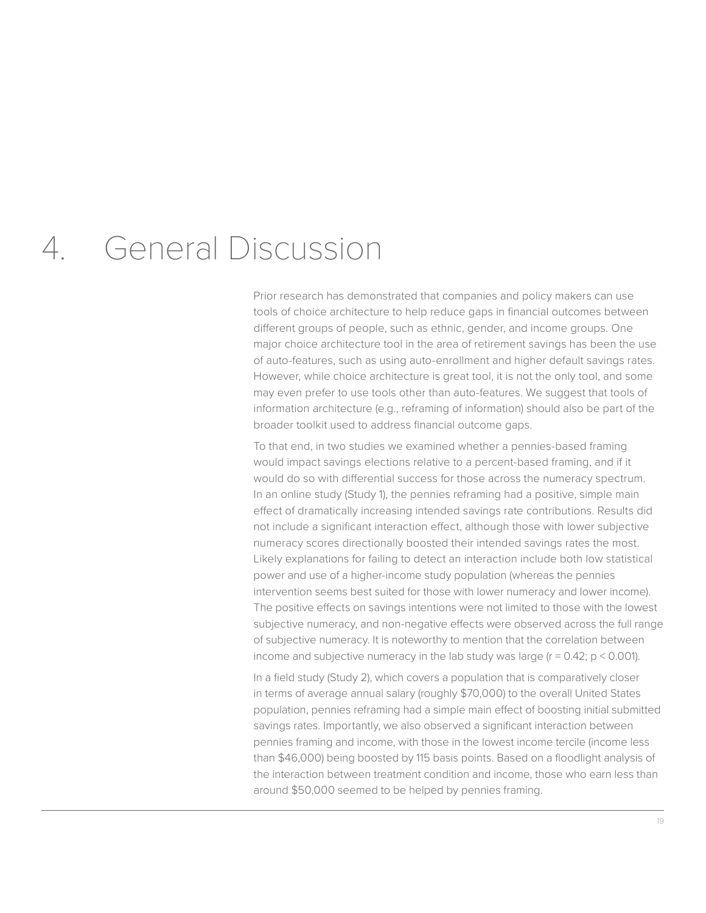### 4. General Discussion

Prior research has demonstrated that companies and policy makers can use tools of choice architecture to help reduce gaps in financial outcomes between different groups of people, such as ethnic, gender, and income groups. One major choice architecture tool in the area of retirement savings has been the use of auto-features, such as using auto-enrollment and higher default savings rates. However, while choice architecture is great tool, it is not the only tool, and some may even prefer to use tools other than auto-features. We suggest that tools of information architecture (e.g., reframing of information) should also be part of the broader toolkit used to address financial outcome gaps.

To that end, in two studies we examined whether a pennies-based framing would impact savings elections relative to a percent-based framing, and if it would do so with differential success for those across the numeracy spectrum. In an online study (Study 1), the pennies reframing had a positive, simple main effect of dramatically increasing intended savings rate contributions. Results did not include a significant interaction effect, although those with lower subjective numeracy scores directionally boosted their intended savings rates the most. Likely explanations for failing to detect an interaction include both low statistical power and use of a higher-income study population (whereas the pennies intervention seems best suited for those with lower numeracy and lower income). The positive effects on savings intentions were not limited to those with the lowest subjective numeracy, and non-negative effects were observed across the full range of subjective numeracy. It is noteworthy to mention that the correlation between income and subjective numeracy in the lab study was large  $(r = 0.42; p \le 0.001)$ .

In a field study (Study 2), which covers a population that is comparatively closer in terms of average annual salary (roughly \$70,000) to the overall United States population, pennies reframing had a simple main effect of boosting initial submitted savings rates. Importantly, we also observed a significant interaction between pennies framing and income, with those in the lowest income tercile (income less than \$46,000) being boosted by 115 basis points. Based on a floodlight analysis of the interaction between treatment condition and income, those who earn less than around \$50,000 seemed to be helped by pennies framing.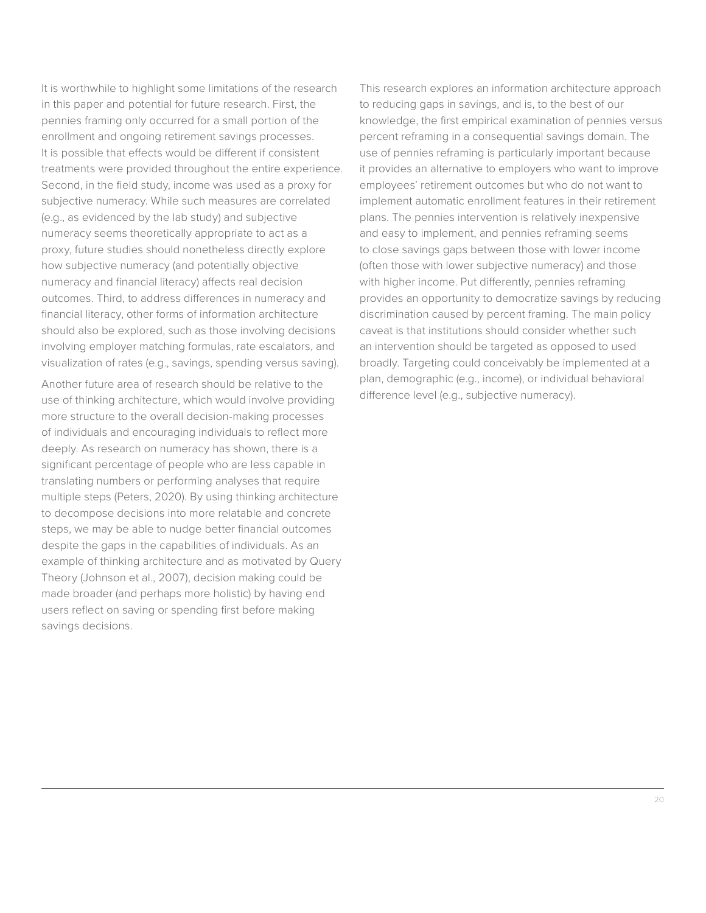It is worthwhile to highlight some limitations of the research in this paper and potential for future research. First, the pennies framing only occurred for a small portion of the enrollment and ongoing retirement savings processes. It is possible that effects would be different if consistent treatments were provided throughout the entire experience. Second, in the field study, income was used as a proxy for subjective numeracy. While such measures are correlated (e.g., as evidenced by the lab study) and subjective numeracy seems theoretically appropriate to act as a proxy, future studies should nonetheless directly explore how subjective numeracy (and potentially objective numeracy and financial literacy) affects real decision outcomes. Third, to address differences in numeracy and financial literacy, other forms of information architecture should also be explored, such as those involving decisions involving employer matching formulas, rate escalators, and visualization of rates (e.g., savings, spending versus saving).

Another future area of research should be relative to the use of thinking architecture, which would involve providing more structure to the overall decision-making processes of individuals and encouraging individuals to reflect more deeply. As research on numeracy has shown, there is a significant percentage of people who are less capable in translating numbers or performing analyses that require multiple steps (Peters, 2020). By using thinking architecture to decompose decisions into more relatable and concrete steps, we may be able to nudge better financial outcomes despite the gaps in the capabilities of individuals. As an example of thinking architecture and as motivated by Query Theory (Johnson et al., 2007), decision making could be made broader (and perhaps more holistic) by having end users reflect on saving or spending first before making savings decisions.

This research explores an information architecture approach to reducing gaps in savings, and is, to the best of our knowledge, the first empirical examination of pennies versus percent reframing in a consequential savings domain. The use of pennies reframing is particularly important because it provides an alternative to employers who want to improve employees' retirement outcomes but who do not want to implement automatic enrollment features in their retirement plans. The pennies intervention is relatively inexpensive and easy to implement, and pennies reframing seems to close savings gaps between those with lower income (often those with lower subjective numeracy) and those with higher income. Put differently, pennies reframing provides an opportunity to democratize savings by reducing discrimination caused by percent framing. The main policy caveat is that institutions should consider whether such an intervention should be targeted as opposed to used broadly. Targeting could conceivably be implemented at a plan, demographic (e.g., income), or individual behavioral difference level (e.g., subjective numeracy).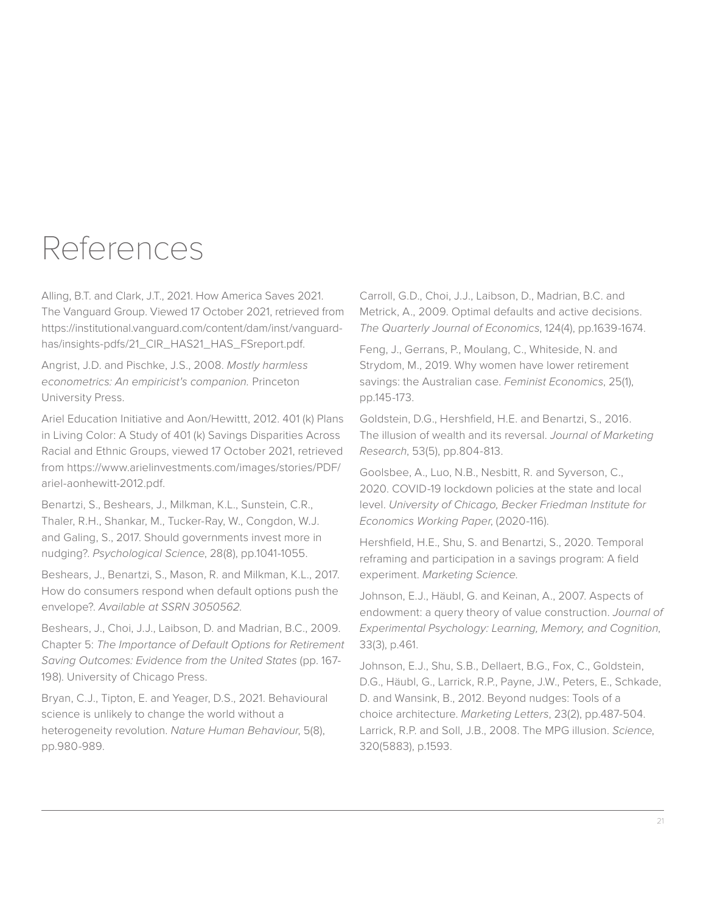### References

Alling, B.T. and Clark, J.T., 2021. How America Saves 2021. The Vanguard Group. Viewed 17 October 2021, retrieved from https://institutional.vanguard.com/content/dam/inst/vanguardhas/insights-pdfs/21\_CIR\_HAS21\_HAS\_FSreport.pdf.

Angrist, J.D. and Pischke, J.S., 2008. *Mostly harmless econometrics: An empiricist's companion.* Princeton University Press.

Ariel Education Initiative and Aon/Hewittt, 2012. 401 (k) Plans in Living Color: A Study of 401 (k) Savings Disparities Across Racial and Ethnic Groups, viewed 17 October 2021, retrieved from https://www.arielinvestments.com/images/stories/PDF/ ariel-aonhewitt-2012.pdf.

Benartzi, S., Beshears, J., Milkman, K.L., Sunstein, C.R., Thaler, R.H., Shankar, M., Tucker-Ray, W., Congdon, W.J. and Galing, S., 2017. Should governments invest more in nudging?. *Psychological Science*, 28(8), pp.1041-1055.

Beshears, J., Benartzi, S., Mason, R. and Milkman, K.L., 2017. How do consumers respond when default options push the envelope?. *Available at SSRN 3050562*.

Beshears, J., Choi, J.J., Laibson, D. and Madrian, B.C., 2009. Chapter 5: *The Importance of Default Options for Retirement Saving Outcomes: Evidence from the United States* (pp. 167- 198). University of Chicago Press.

Bryan, C.J., Tipton, E. and Yeager, D.S., 2021. Behavioural science is unlikely to change the world without a heterogeneity revolution. *Nature Human Behaviour*, 5(8), pp.980-989.

Carroll, G.D., Choi, J.J., Laibson, D., Madrian, B.C. and Metrick, A., 2009. Optimal defaults and active decisions. *The Quarterly Journal of Economics*, 124(4), pp.1639-1674.

Feng, J., Gerrans, P., Moulang, C., Whiteside, N. and Strydom, M., 2019. Why women have lower retirement savings: the Australian case. *Feminist Economics*, 25(1), pp.145-173.

Goldstein, D.G., Hershfield, H.E. and Benartzi, S., 2016. The illusion of wealth and its reversal. *Journal of Marketing Research*, 53(5), pp.804-813.

Goolsbee, A., Luo, N.B., Nesbitt, R. and Syverson, C., 2020. COVID-19 lockdown policies at the state and local level. *University of Chicago, Becker Friedman Institute for Economics Working Paper*, (2020-116).

Hershfield, H.E., Shu, S. and Benartzi, S., 2020. Temporal reframing and participation in a savings program: A field experiment. *Marketing Science*.

Johnson, E.J., Häubl, G. and Keinan, A., 2007. Aspects of endowment: a query theory of value construction. *Journal of Experimental Psychology: Learning, Memory, and Cognition*, 33(3), p.461.

Johnson, E.J., Shu, S.B., Dellaert, B.G., Fox, C., Goldstein, D.G., Häubl, G., Larrick, R.P., Payne, J.W., Peters, E., Schkade, D. and Wansink, B., 2012. Beyond nudges: Tools of a choice architecture. *Marketing Letters*, 23(2), pp.487-504. Larrick, R.P. and Soll, J.B., 2008. The MPG illusion. *Science*, 320(5883), p.1593.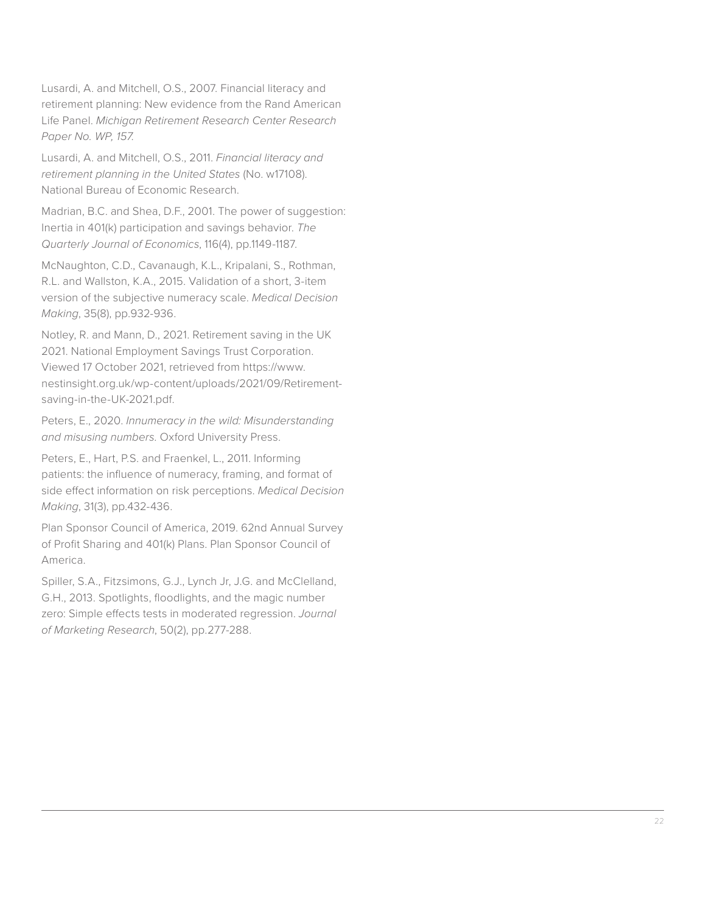Lusardi, A. and Mitchell, O.S., 2007. Financial literacy and retirement planning: New evidence from the Rand American Life Panel. *Michigan Retirement Research Center Research Paper No. WP, 157*.

Lusardi, A. and Mitchell, O.S., 2011. *Financial literacy and retirement planning in the United States* (No. w17108). National Bureau of Economic Research.

Madrian, B.C. and Shea, D.F., 2001. The power of suggestion: Inertia in 401(k) participation and savings behavior. *The Quarterly Journal of Economics*, 116(4), pp.1149-1187.

McNaughton, C.D., Cavanaugh, K.L., Kripalani, S., Rothman, R.L. and Wallston, K.A., 2015. Validation of a short, 3-item version of the subjective numeracy scale. *Medical Decision Making*, 35(8), pp.932-936.

Notley, R. and Mann, D., 2021. Retirement saving in the UK 2021. National Employment Savings Trust Corporation. Viewed 17 October 2021, retrieved from https://www. nestinsight.org.uk/wp-content/uploads/2021/09/Retirementsaving-in-the-UK-2021.pdf.

Peters, E., 2020. *Innumeracy in the wild: Misunderstanding and misusing numbers*. Oxford University Press.

Peters, E., Hart, P.S. and Fraenkel, L., 2011. Informing patients: the influence of numeracy, framing, and format of side effect information on risk perceptions. *Medical Decision Making*, 31(3), pp.432-436.

Plan Sponsor Council of America, 2019. 62nd Annual Survey of Profit Sharing and 401(k) Plans. Plan Sponsor Council of America.

Spiller, S.A., Fitzsimons, G.J., Lynch Jr, J.G. and McClelland, G.H., 2013. Spotlights, floodlights, and the magic number zero: Simple effects tests in moderated regression. *Journal of Marketing Research*, 50(2), pp.277-288.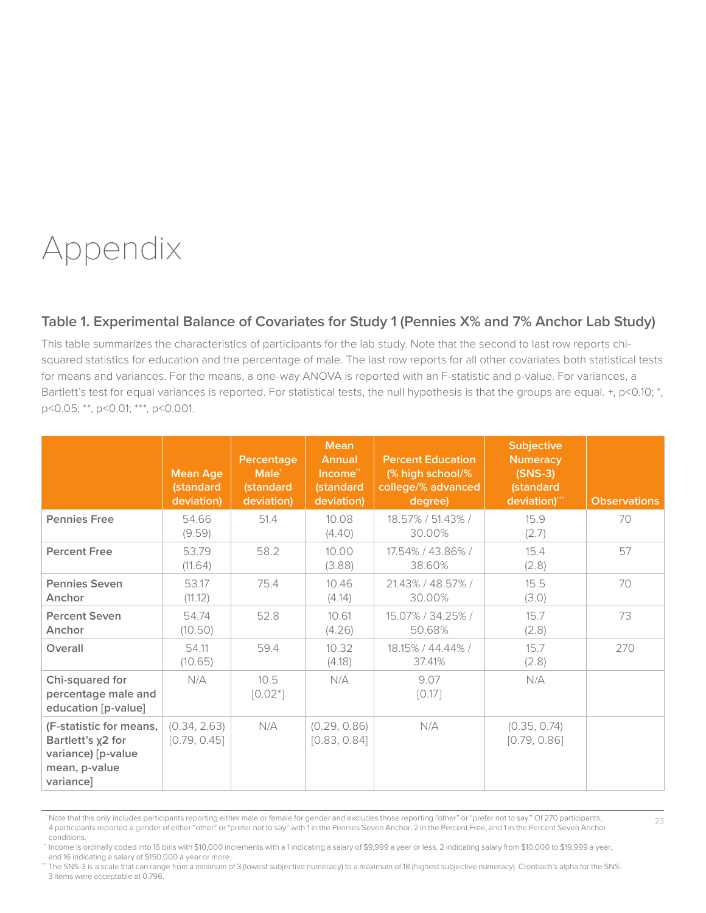## Appendix

#### **Table 1. Experimental Balance of Covariates for Study 1 (Pennies X% and 7% Anchor Lab Study)**

This table summarizes the characteristics of participants for the lab study. Note that the second to last row reports chisquared statistics for education and the percentage of male. The last row reports for all other covariates both statistical tests for means and variances. For the means, a one-way ANOVA is reported with an F-statistic and p-value. For variances, a Bartlett's test for equal variances is reported. For statistical tests, the null hypothesis is that the groups are equal. +, p<0.10; \*, p<0.05; \*\*, p<0.01; \*\*\*, p<0.001.

|                                                                                                  | <b>Mean Age</b><br>(standard<br>deviation) | Percentage<br>Male <sup>+</sup><br><b>(standard</b><br>deviation) | <b>Mean</b><br>Annual<br>$Income**$<br>(standard<br>deviation) | <b>Percent Education</b><br>(% high school/%<br>college/% advanced<br>degree) | <b>Subjective</b><br><b>Numeracy</b><br>$(SNS-3)$<br>(standard<br>deviation)*** | <b>Observations</b> |
|--------------------------------------------------------------------------------------------------|--------------------------------------------|-------------------------------------------------------------------|----------------------------------------------------------------|-------------------------------------------------------------------------------|---------------------------------------------------------------------------------|---------------------|
| <b>Pennies Free</b>                                                                              | 54.66<br>(9.59)                            | 51.4                                                              | 10.08<br>(4.40)                                                | 18.57% / 51.43% /<br>30.00%                                                   | 15.9<br>(2.7)                                                                   | 70                  |
| <b>Percent Free</b>                                                                              | 53.79<br>(11.64)                           | 58.2                                                              | 10.00<br>(3.88)                                                | 17.54% / 43.86% /<br>38.60%                                                   | 15.4<br>(2.8)                                                                   | 57                  |
| <b>Pennies Seven</b><br>Anchor                                                                   | 53.17<br>(11.12)                           | 75.4                                                              | 10.46<br>(4.14)                                                | 21.43% / 48.57% /<br>30.00%                                                   | 15.5<br>(3.0)                                                                   | 70                  |
| <b>Percent Seven</b><br>Anchor                                                                   | 54.74<br>(10.50)                           | 52.8                                                              | 10.61<br>(4.26)                                                | 15.07% / 34.25% /<br>50.68%                                                   | 15.7<br>(2.8)                                                                   | 73                  |
| Overall                                                                                          | 54.11<br>(10.65)                           | 59.4                                                              | 10.32<br>(4.18)                                                | 18.15% / 44.44% /<br>37.41%                                                   | 15.7<br>(2.8)                                                                   | 270                 |
| Chi-squared for<br>percentage male and<br>education [p-value]                                    | N/A                                        | 10.5<br>$[0.02^*]$                                                | N/A                                                            | 9.07<br>$[0.17]$                                                              | N/A                                                                             |                     |
| (F-statistic for means,<br>Bartlett's x2 for<br>variance) [p-value<br>mean, p-value<br>variance] | (0.34, 2.63)<br>[0.79, 0.45]               | N/A                                                               | (0.29, 0.86)<br>[0.83, 0.84]                                   | N/A                                                                           | (0.35, 0.74)<br>[0.79, 0.86]                                                    |                     |

<sup>\*</sup> Note that this only includes participants reporting either male or female for gender and excludes those reporting "other" or "prefer not to say." Of 270 participants, 4 participants reported a gender of either "other" or "prefer not to say" with 1 in the Pennies Seven Anchor, 2 in the Percent Free, and 1 in the Percent Seven Anchor conditions.

23

†† Income is ordinally coded into 16 bins with \$10,000 increments with a 1 indicating a salary of \$9,999 a year or less, 2 indicating salary from \$10,000 to \$19,999 a year, and 16 indicating a salary of \$150,000 a year or more.

the SNS-3 is a scale that can range from a minimum of 3 (lowest subjective numeracy) to a maximum of 18 (highest subjective numeracy). Cronbach's alpha for the SNS-3 items were acceptable at 0.796.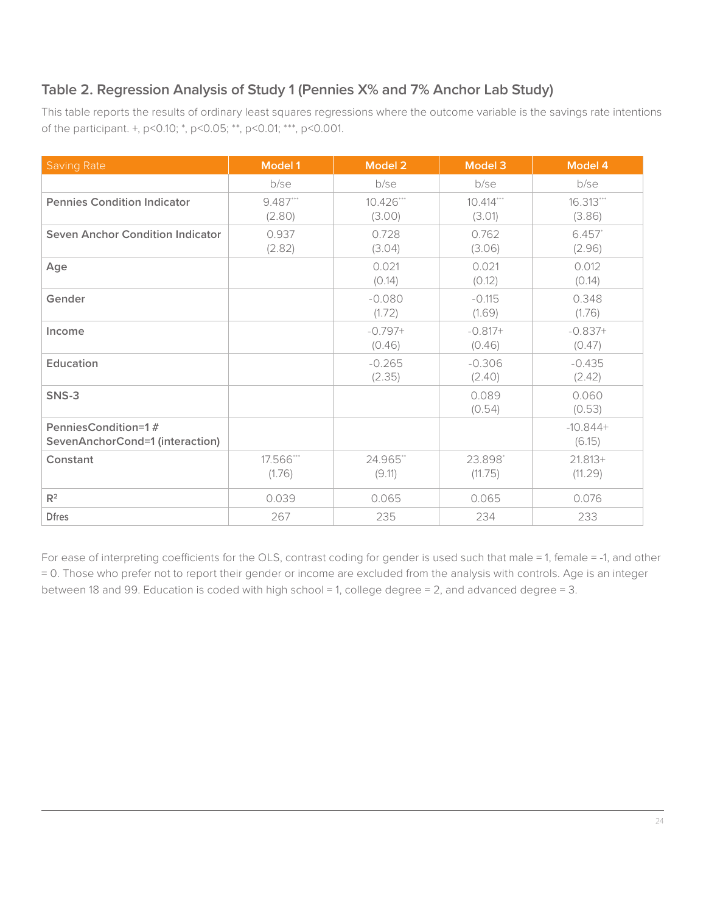#### **Table 2. Regression Analysis of Study 1 (Pennies X% and 7% Anchor Lab Study)**

This table reports the results of ordinary least squares regressions where the outcome variable is the savings rate intentions of the participant. +, p<0.10; \*, p<0.05; \*\*, p<0.01; \*\*\*, p<0.001.

| <b>Saving Rate</b>                                     | <b>Model 1</b>      | Model 2             | <b>Model 3</b>        | Model 4               |
|--------------------------------------------------------|---------------------|---------------------|-----------------------|-----------------------|
|                                                        | b/se                | b/se                | b/se                  | b/se                  |
| <b>Pennies Condition Indicator</b>                     | 9.487***<br>(2.80)  | 10.426***<br>(3.00) | $10.414***$<br>(3.01) | $16.313***$<br>(3.86) |
| <b>Seven Anchor Condition Indicator</b>                | 0.937<br>(2.82)     | 0.728<br>(3.04)     | 0.762<br>(3.06)       | 6.457<br>(2.96)       |
| Age                                                    |                     | 0.021<br>(0.14)     | 0.021<br>(0.12)       | 0.012<br>(0.14)       |
| Gender                                                 |                     | $-0.080$<br>(1.72)  | $-0.115$<br>(1.69)    | 0.348<br>(1.76)       |
| Income                                                 |                     | $-0.797+$<br>(0.46) | $-0.817+$<br>(0.46)   | $-0.837+$<br>(0.47)   |
| Education                                              |                     | $-0.265$<br>(2.35)  | $-0.306$<br>(2.40)    | $-0.435$<br>(2.42)    |
| SNS-3                                                  |                     |                     | 0.089<br>(0.54)       | 0.060<br>(0.53)       |
| PenniesCondition=1#<br>SevenAnchorCond=1 (interaction) |                     |                     |                       | $-10.844+$<br>(6.15)  |
| Constant                                               | 17.566***<br>(1.76) | 24.965**<br>(9.11)  | 23.898*<br>(11.75)    | $21.813+$<br>(11.29)  |
| $R^2$                                                  | 0.039               | 0.065               | 0.065                 | 0.076                 |
| <b>Dfres</b>                                           | 267                 | 235                 | 234                   | 233                   |

For ease of interpreting coefficients for the OLS, contrast coding for gender is used such that male = 1, female = -1, and other = 0. Those who prefer not to report their gender or income are excluded from the analysis with controls. Age is an integer between 18 and 99. Education is coded with high school = 1, college degree = 2, and advanced degree = 3.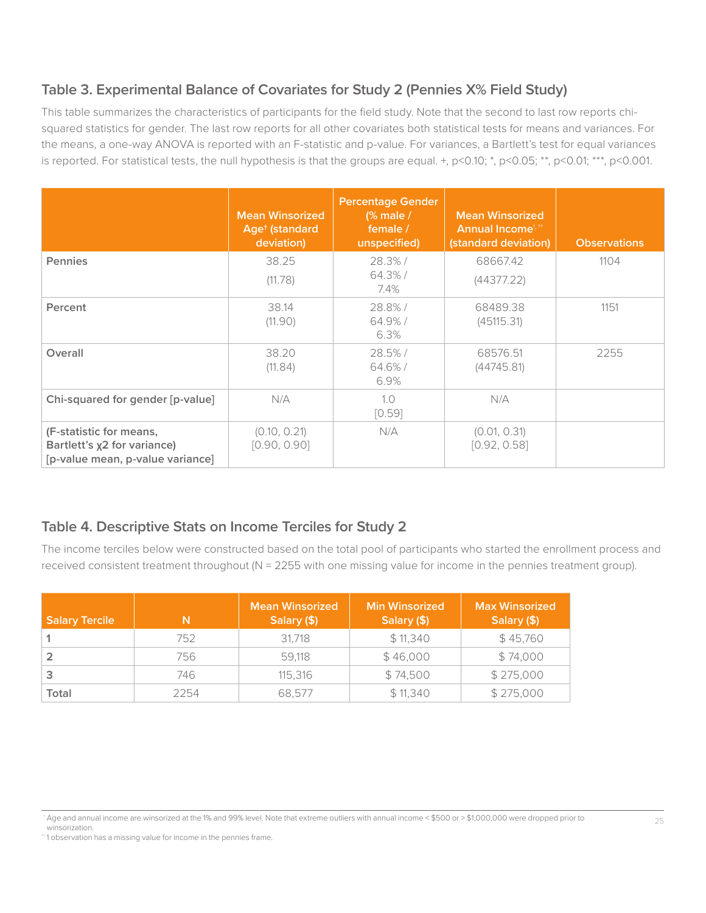#### **Table 3. Experimental Balance of Covariates for Study 2 (Pennies X% Field Study)**

This table summarizes the characteristics of participants for the field study. Note that the second to last row reports chisquared statistics for gender. The last row reports for all other covariates both statistical tests for means and variances. For the means, a one-way ANOVA is reported with an F-statistic and p-value. For variances, a Bartlett's test for equal variances is reported. For statistical tests, the null hypothesis is that the groups are equal. +,  $p<0.10$ ; \*,  $p<0.05$ ; \*\*,  $p<0.01$ ; \*\*\*,  $p<0.001$ .

|                                                                                            | <b>Mean Winsorized</b><br>Age <sup>+</sup> (standard<br>deviation) | <b>Percentage Gender</b><br>$\frac{1}{2}$ male /<br>female /<br>unspecified) | <b>Mean Winsorized</b><br>Annual Income <sup>t, 11</sup><br>(standard deviation) | <b>Observations</b> |
|--------------------------------------------------------------------------------------------|--------------------------------------------------------------------|------------------------------------------------------------------------------|----------------------------------------------------------------------------------|---------------------|
| <b>Pennies</b>                                                                             | 38.25<br>(11.78)                                                   | 28.3%/<br>$64.3\%$ /<br>7.4%                                                 | 68667.42<br>(44377.22)                                                           | 1104                |
| Percent                                                                                    | 38.14<br>(11.90)                                                   | 28.8%/<br>64.9%/<br>6.3%                                                     | 68489.38<br>(45115.31)                                                           | 1151                |
| Overall                                                                                    | 38.20<br>(11.84)                                                   | 28.5%/<br>64.6%/<br>6.9%                                                     | 68576.51<br>(44745.81)                                                           | 2255                |
| Chi-squared for gender [p-value]                                                           | N/A                                                                | 1.0<br>[0.59]                                                                | N/A                                                                              |                     |
| (F-statistic for means,<br>Bartlett's x2 for variance)<br>[p-value mean, p-value variance] | (0.10, 0.21)<br>[0.90, 0.90]                                       | N/A                                                                          | (0.01, 0.31)<br>[0.92, 0.58]                                                     |                     |

#### **Table 4. Descriptive Stats on Income Terciles for Study 2**

The income terciles below were constructed based on the total pool of participants who started the enrollment process and received consistent treatment throughout ( $N = 2255$  with one missing value for income in the pennies treatment group).

| <b>Salary Tercile</b> | N    | <b>Mean Winsorized</b><br>Salary (\$) | <b>Min Winsorized</b><br>Salary (\$) | <b>Max Winsorized</b><br>Salary (\$) |
|-----------------------|------|---------------------------------------|--------------------------------------|--------------------------------------|
|                       | 752  | 31.718                                | \$11,340                             | \$45,760                             |
|                       | 756  | 59,118                                | \$46,000                             | \$74,000                             |
|                       | 746  | 115.316                               | \$74,500                             | \$275,000                            |
| Total                 | 2254 | 68.577                                | \$11,340                             | \$275,000                            |

<sup>†</sup> Age and annual income are winsorized at the 1% and 99% level. Note that extreme outliers with annual income < \$500 or > \$1,000,000 were dropped prior to winsorization.

<sup>&</sup>lt;sup>+</sup>1 observation has a missing value for income in the pennies frame.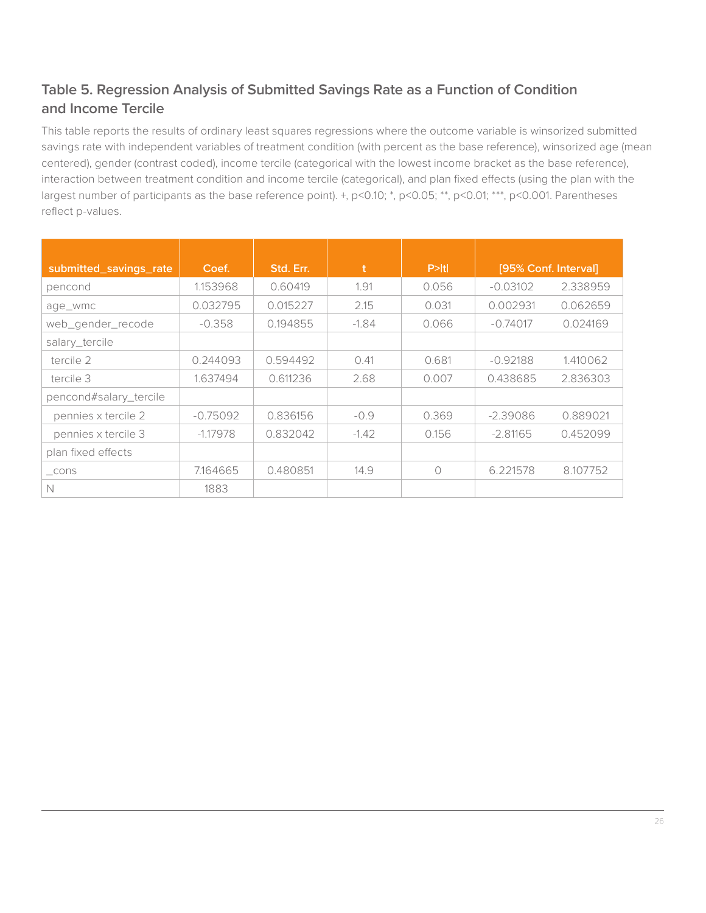#### **Table 5. Regression Analysis of Submitted Savings Rate as a Function of Condition and Income Tercile**

This table reports the results of ordinary least squares regressions where the outcome variable is winsorized submitted savings rate with independent variables of treatment condition (with percent as the base reference), winsorized age (mean centered), gender (contrast coded), income tercile (categorical with the lowest income bracket as the base reference), interaction between treatment condition and income tercile (categorical), and plan fixed effects (using the plan with the largest number of participants as the base reference point). +, p<0.10; \*, p<0.05; \*\*, p<0.01; \*\*\*, p<0.001. Parentheses reflect p-values.

| submitted_savings_rate | Coef.      | Std. Err. | t       | P >  t |            | [95% Conf. Interval] |
|------------------------|------------|-----------|---------|--------|------------|----------------------|
| pencond                | 1.153968   | 0.60419   | 1.91    | 0.056  | $-0.03102$ | 2.338959             |
| age_wmc                | 0.032795   | 0.015227  | 2.15    | 0.031  | 0.002931   | 0.062659             |
| web_gender_recode      | $-0.358$   | 0.194855  | $-1.84$ | 0.066  | $-0.74017$ | 0.024169             |
| salary_tercile         |            |           |         |        |            |                      |
| tercile 2              | 0.244093   | 0.594492  | 0.41    | 0.681  | $-0.92188$ | 1.410062             |
| tercile 3              | 1.637494   | 0.611236  | 2.68    | 0.007  | 0.438685   | 2.836303             |
| pencond#salary_tercile |            |           |         |        |            |                      |
| pennies x tercile 2    | $-0.75092$ | 0.836156  | $-0.9$  | 0.369  | $-2.39086$ | 0.889021             |
| pennies x tercile 3    | $-1.17978$ | 0.832042  | $-1.42$ | 0.156  | $-2.81165$ | 0.452099             |
| plan fixed effects     |            |           |         |        |            |                      |
| $\_cons$               | 7.164665   | 0.480851  | 14.9    | ∩      | 6.221578   | 8.107752             |
| N                      | 1883       |           |         |        |            |                      |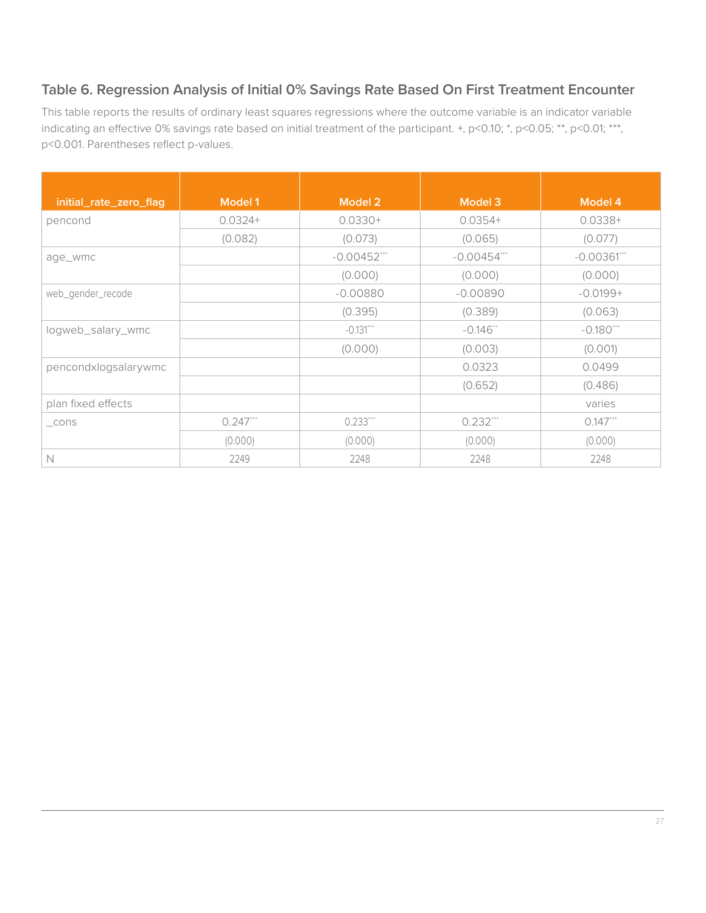#### **Table 6. Regression Analysis of Initial 0% Savings Rate Based On First Treatment Encounter**

This table reports the results of ordinary least squares regressions where the outcome variable is an indicator variable indicating an effective 0% savings rate based on initial treatment of the participant. +, p<0.10; \*, p<0.05; \*\*, p<0.01; \*\*\*, p<0.001. Parentheses reflect p-values.

| initial_rate_zero_flag | Model 1    | Model 2        | Model 3        | Model 4     |
|------------------------|------------|----------------|----------------|-------------|
| pencond                | $0.0324+$  | $0.0330+$      | $0.0354+$      | $0.0338 +$  |
|                        | (0.082)    | (0.073)        | (0.065)        | (0.077)     |
| age_wmc                |            | $-0.00452$ *** | $-0.00454$ *** | $-0.00361$  |
|                        |            | (0.000)        | (0.000)        | (0.000)     |
| web_gender_recode      |            | $-0.00880$     | $-0.00890$     | $-0.0199 +$ |
|                        |            | (0.395)        | (0.389)        | (0.063)     |
| logweb_salary_wmc      |            | $-0.131***$    | $-0.146$ **    | $-0.180***$ |
|                        |            | (0.000)        | (0.003)        | (0.001)     |
| pencondxlogsalarywmc   |            |                | 0.0323         | 0.0499      |
|                        |            |                | (0.652)        | (0.486)     |
| plan fixed effects     |            |                |                | varies      |
| $\_cons$               | $0.247***$ | $0.233***$     | $0.232***$     | $0.147***$  |
|                        | (0.000)    | (0.000)        | (0.000)        | (0.000)     |
| N                      | 2249       | 2248           | 2248           | 2248        |